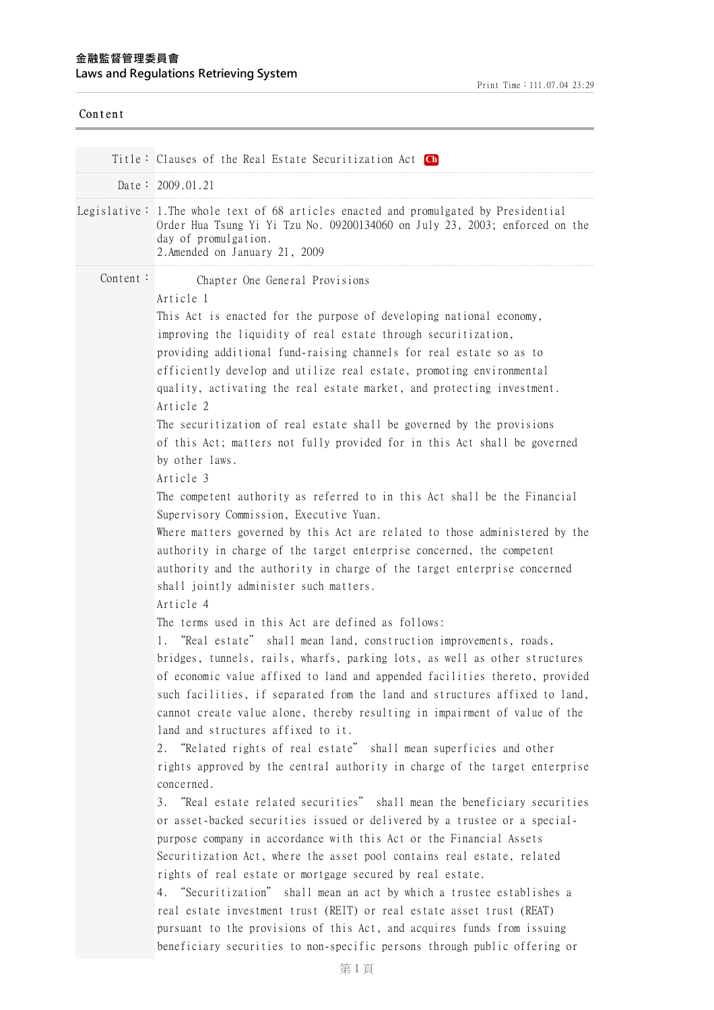| Content  |                                                                                                                                                                                                                                                                                                                                                                                                                                                                                                                                                                                                                                                                                                                                                                                                                                                                                                                                                                                                                                                                                                                                                                                                                                                                                                                                                                                                                                                                                                                                                                                                                                                                                                                                                                                                                                                                                                                                                                                                                                                                                                                                                                                                                                                                                                                                                                                     |
|----------|-------------------------------------------------------------------------------------------------------------------------------------------------------------------------------------------------------------------------------------------------------------------------------------------------------------------------------------------------------------------------------------------------------------------------------------------------------------------------------------------------------------------------------------------------------------------------------------------------------------------------------------------------------------------------------------------------------------------------------------------------------------------------------------------------------------------------------------------------------------------------------------------------------------------------------------------------------------------------------------------------------------------------------------------------------------------------------------------------------------------------------------------------------------------------------------------------------------------------------------------------------------------------------------------------------------------------------------------------------------------------------------------------------------------------------------------------------------------------------------------------------------------------------------------------------------------------------------------------------------------------------------------------------------------------------------------------------------------------------------------------------------------------------------------------------------------------------------------------------------------------------------------------------------------------------------------------------------------------------------------------------------------------------------------------------------------------------------------------------------------------------------------------------------------------------------------------------------------------------------------------------------------------------------------------------------------------------------------------------------------------------------|
|          | Title: Clauses of the Real Estate Securitization Act Ch                                                                                                                                                                                                                                                                                                                                                                                                                                                                                                                                                                                                                                                                                                                                                                                                                                                                                                                                                                                                                                                                                                                                                                                                                                                                                                                                                                                                                                                                                                                                                                                                                                                                                                                                                                                                                                                                                                                                                                                                                                                                                                                                                                                                                                                                                                                             |
|          | Date: $2009.01.21$                                                                                                                                                                                                                                                                                                                                                                                                                                                                                                                                                                                                                                                                                                                                                                                                                                                                                                                                                                                                                                                                                                                                                                                                                                                                                                                                                                                                                                                                                                                                                                                                                                                                                                                                                                                                                                                                                                                                                                                                                                                                                                                                                                                                                                                                                                                                                                  |
|          | Legislative: 1. The whole text of 68 articles enacted and promulgated by Presidential<br>Order Hua Tsung Yi Yi Tzu No. 09200134060 on July 23, 2003; enforced on the<br>day of promulgation.<br>2. Amended on January 21, 2009                                                                                                                                                                                                                                                                                                                                                                                                                                                                                                                                                                                                                                                                                                                                                                                                                                                                                                                                                                                                                                                                                                                                                                                                                                                                                                                                                                                                                                                                                                                                                                                                                                                                                                                                                                                                                                                                                                                                                                                                                                                                                                                                                      |
| Content: | Chapter One General Provisions<br>Article 1<br>This Act is enacted for the purpose of developing national economy,<br>improving the liquidity of real estate through securitization,<br>providing additional fund-raising channels for real estate so as to<br>efficiently develop and utilize real estate, promoting environmental<br>quality, activating the real estate market, and protecting investment.<br>Article 2<br>The securitization of real estate shall be governed by the provisions<br>of this Act; matters not fully provided for in this Act shall be governed<br>by other laws.<br>Article 3<br>The competent authority as referred to in this Act shall be the Financial<br>Supervisory Commission, Executive Yuan.<br>Where matters governed by this Act are related to those administered by the<br>authority in charge of the target enterprise concerned, the competent<br>authority and the authority in charge of the target enterprise concerned<br>shall jointly administer such matters.<br>Article 4<br>The terms used in this Act are defined as follows:<br>"Real estate" shall mean land, construction improvements, roads,<br>bridges, tunnels, rails, wharfs, parking lots, as well as other structures<br>of economic value affixed to land and appended facilities thereto, provided<br>such facilities, if separated from the land and structures affixed to land,<br>cannot create value alone, thereby resulting in impairment of value of the<br>land and structures affixed to it.<br>2. "Related rights of real estate" shall mean superficies and other<br>rights approved by the central authority in charge of the target enterprise<br>concerned.<br>3. "Real estate related securities" shall mean the beneficiary securities<br>or asset-backed securities issued or delivered by a trustee or a special-<br>purpose company in accordance with this Act or the Financial Assets<br>Securitization Act, where the asset pool contains real estate, related<br>rights of real estate or mortgage secured by real estate.<br>4. "Securitization" shall mean an act by which a trustee establishes a<br>real estate investment trust (REIT) or real estate asset trust (REAT)<br>pursuant to the provisions of this Act, and acquires funds from issuing<br>beneficiary securities to non-specific persons through public offering or |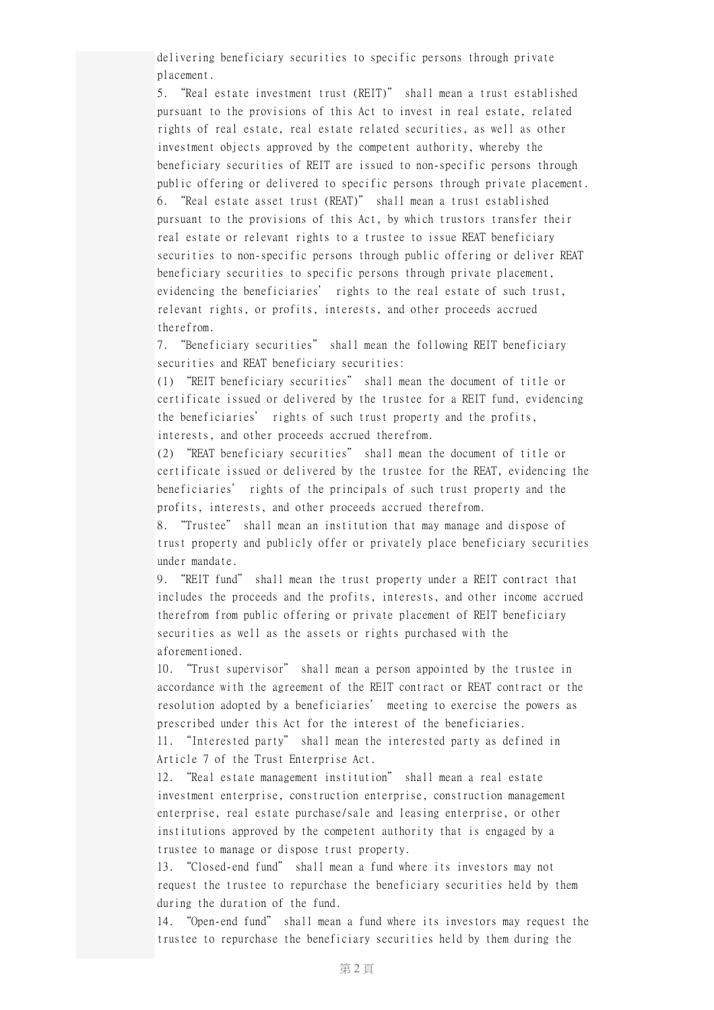delivering beneficiary securities to specific persons through private placement.

5. "Real estate investment trust (REIT)" shall mean a trust established pursuant to the provisions of this Act to invest in real estate, related rights of real estate, real estate related securities, as well as other investment objects approved by the competent authority, whereby the beneficiary securities of REIT are issued to non-specific persons through public offering or delivered to specific persons through private placement. 6. "Real estate asset trust (REAT)" shall mean a trust established pursuant to the provisions of this Act, by which trustors transfer their real estate or relevant rights to a trustee to issue REAT beneficiary securities to non-specific persons through public offering or deliver REAT beneficiary securities to specific persons through private placement, evidencing the beneficiaries' rights to the real estate of such trust, relevant rights, or profits, interests, and other proceeds accrued therefrom.

7. "Beneficiary securities" shall mean the following REIT beneficiary securities and REAT beneficiary securities:

(1) "REIT beneficiary securities" shall mean the document of title or certificate issued or delivered by the trustee for a REIT fund, evidencing the beneficiaries' rights of such trust property and the profits, interests, and other proceeds accrued therefrom.

(2) "REAT beneficiary securities" shall mean the document of title or certificate issued or delivered by the trustee for the REAT, evidencing the beneficiaries' rights of the principals of such trust property and the profits, interests, and other proceeds accrued therefrom.

8. "Trustee" shall mean an institution that may manage and dispose of trust property and publicly offer or privately place beneficiary securities under mandate.

9. "REIT fund" shall mean the trust property under a REIT contract that includes the proceeds and the profits, interests, and other income accrued therefrom from public offering or private placement of REIT beneficiary securities as well as the assets or rights purchased with the aforementioned.

10. "Trust supervisor" shall mean a person appointed by the trustee in accordance with the agreement of the REIT contract or REAT contract or the resolution adopted by a beneficiaries' meeting to exercise the powers as prescribed under this Act for the interest of the beneficiaries. 11. "Interested party" shall mean the interested party as defined in

Article 7 of the Trust Enterprise Act.

12. "Real estate management institution" shall mean a real estate investment enterprise, construction enterprise, construction management enterprise, real estate purchase/sale and leasing enterprise, or other institutions approved by the competent authority that is engaged by a trustee to manage or dispose trust property.

13. "Closed-end fund" shall mean a fund where its investors may not request the trustee to repurchase the beneficiary securities held by them during the duration of the fund.

14. "Open-end fund" shall mean a fund where its investors may request the trustee to repurchase the beneficiary securities held by them during the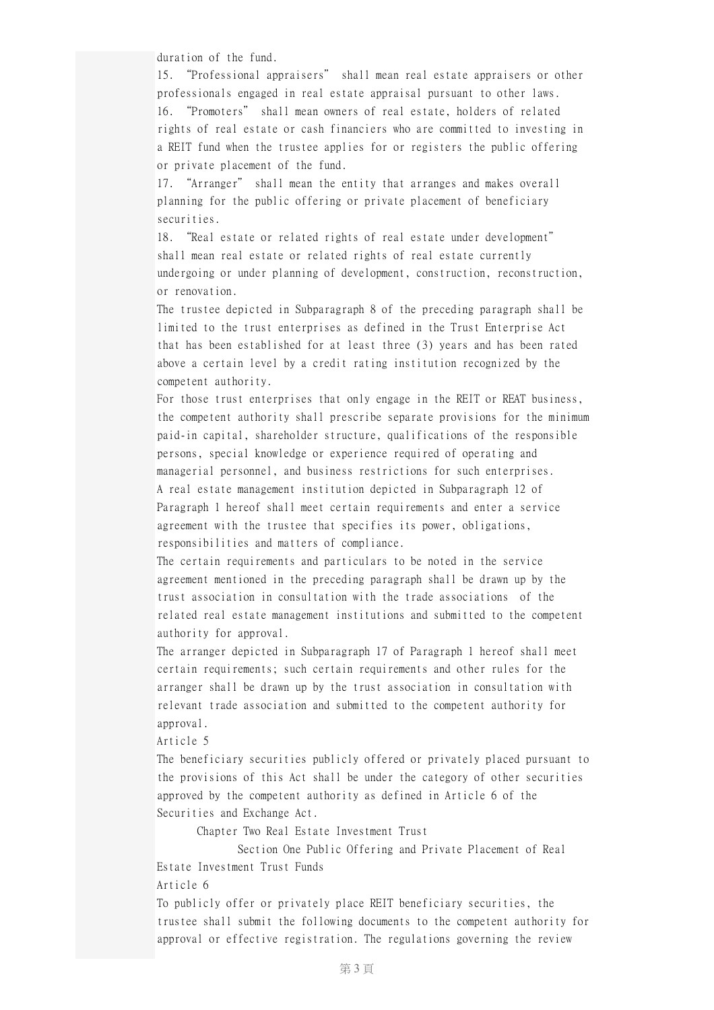duration of the fund.

15. "Professional appraisers" shall mean real estate appraisers or other professionals engaged in real estate appraisal pursuant to other laws. 16. "Promoters" shall mean owners of real estate, holders of related rights of real estate or cash financiers who are committed to investing in a REIT fund when the trustee applies for or registers the public offering or private placement of the fund.

17. "Arranger" shall mean the entity that arranges and makes overall planning for the public offering or private placement of beneficiary securities.

18. "Real estate or related rights of real estate under development" shall mean real estate or related rights of real estate currently undergoing or under planning of development, construction, reconstruction, or renovation.

The trustee depicted in Subparagraph 8 of the preceding paragraph shall be limited to the trust enterprises as defined in the Trust Enterprise Act that has been established for at least three (3) years and has been rated above a certain level by a credit rating institution recognized by the competent authority.

For those trust enterprises that only engage in the REIT or REAT business, the competent authority shall prescribe separate provisions for the minimum paid-in capital, shareholder structure, qualifications of the responsible persons, special knowledge or experience required of operating and managerial personnel, and business restrictions for such enterprises. A real estate management institution depicted in Subparagraph 12 of Paragraph 1 hereof shall meet certain requirements and enter a service agreement with the trustee that specifies its power, obligations, responsibilities and matters of compliance.

The certain requirements and particulars to be noted in the service agreement mentioned in the preceding paragraph shall be drawn up by the trust association in consultation with the trade associations of the related real estate management institutions and submitted to the competent authority for approval.

The arranger depicted in Subparagraph 17 of Paragraph 1 hereof shall meet certain requirements; such certain requirements and other rules for the arranger shall be drawn up by the trust association in consultation with relevant trade association and submitted to the competent authority for approval.

Article 5

The beneficiary securities publicly offered or privately placed pursuant to the provisions of this Act shall be under the category of other securities approved by the competent authority as defined in Article 6 of the Securities and Exchange Act.

Chapter Two Real Estate Investment Trust

Section One Public Offering and Private Placement of Real Estate Investment Trust Funds

Article 6

To publicly offer or privately place REIT beneficiary securities, the trustee shall submit the following documents to the competent authority for approval or effective registration. The regulations governing the review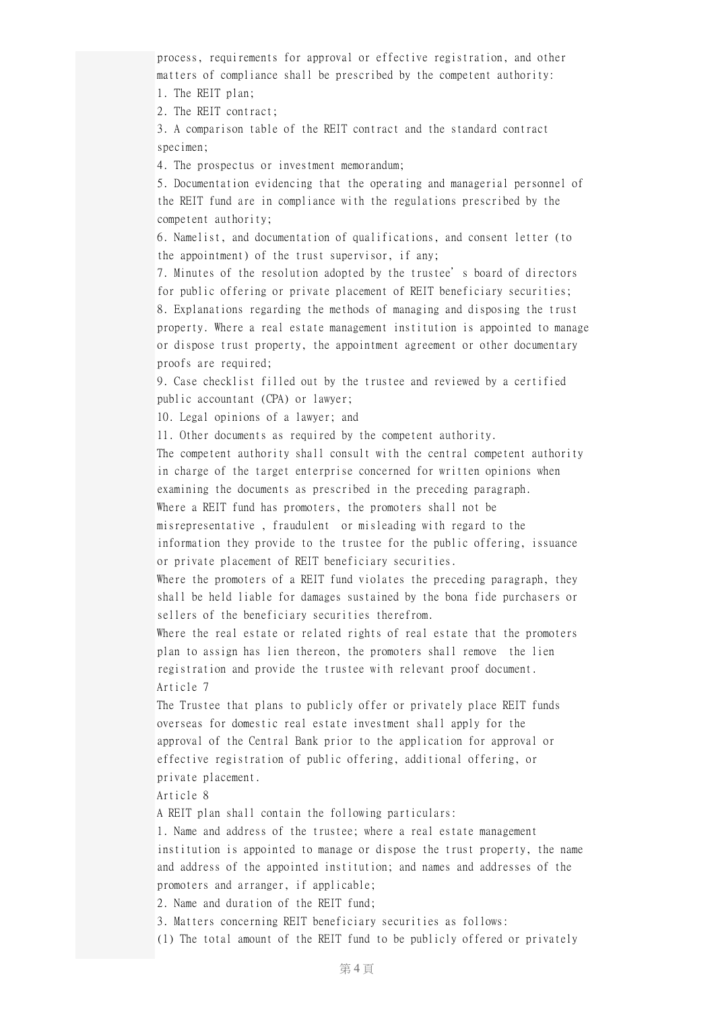process, requirements for approval or effective registration, and other matters of compliance shall be prescribed by the competent authority:

1. The REIT plan;

2. The REIT contract;

3. A comparison table of the REIT contract and the standard contract specimen;

4. The prospectus or investment memorandum;

5. Documentation evidencing that the operating and managerial personnel of the REIT fund are in compliance with the regulations prescribed by the competent authority;

6. Namelist, and documentation of qualifications, and consent letter (to the appointment) of the trust supervisor, if any;

7. Minutes of the resolution adopted by the trustee's board of directors for public offering or private placement of REIT beneficiary securities; 8. Explanations regarding the methods of managing and disposing the trust property. Where a real estate management institution is appointed to manage or dispose trust property, the appointment agreement or other documentary proofs are required;

9. Case checklist filled out by the trustee and reviewed by a certified public accountant (CPA) or lawyer;

10. Legal opinions of a lawyer; and

11. Other documents as required by the competent authority.

The competent authority shall consult with the central competent authority in charge of the target enterprise concerned for written opinions when examining the documents as prescribed in the preceding paragraph. Where a REIT fund has promoters, the promoters shall not be

misrepresentative , fraudulent or misleading with regard to the information they provide to the trustee for the public offering, issuance or private placement of REIT beneficiary securities.

Where the promoters of a REIT fund violates the preceding paragraph, they shall be held liable for damages sustained by the bona fide purchasers or sellers of the beneficiary securities therefrom.

Where the real estate or related rights of real estate that the promoters plan to assign has lien thereon, the promoters shall remove the lien registration and provide the trustee with relevant proof document. Article 7

The Trustee that plans to publicly offer or privately place REIT funds overseas for domestic real estate investment shall apply for the approval of the Central Bank prior to the application for approval or effective registration of public offering, additional offering, or private placement.

Article 8

A REIT plan shall contain the following particulars:

1. Name and address of the trustee; where a real estate management institution is appointed to manage or dispose the trust property, the name and address of the appointed institution; and names and addresses of the promoters and arranger, if applicable;

2. Name and duration of the REIT fund;

3. Matters concerning REIT beneficiary securities as follows:

(1) The total amount of the REIT fund to be publicly offered or privately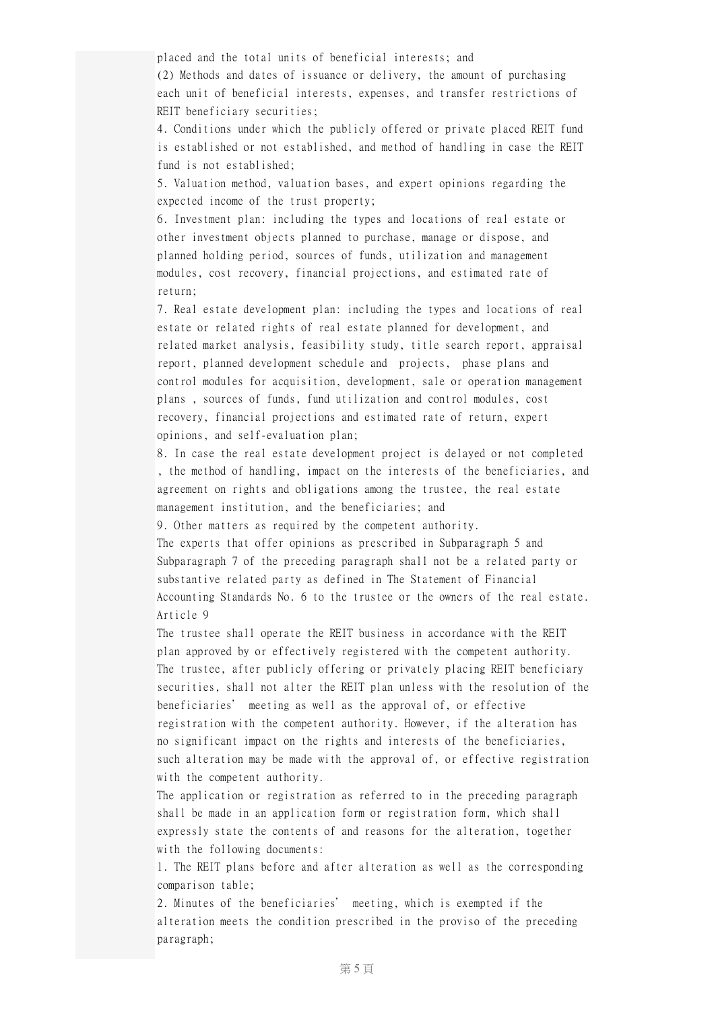placed and the total units of beneficial interests; and

(2) Methods and dates of issuance or delivery, the amount of purchasing each unit of beneficial interests, expenses, and transfer restrictions of REIT beneficiary securities;

4. Conditions under which the publicly offered or private placed REIT fund is established or not established, and method of handling in case the REIT fund is not established;

5. Valuation method, valuation bases, and expert opinions regarding the expected income of the trust property;

6. Investment plan: including the types and locations of real estate or other investment objects planned to purchase, manage or dispose, and planned holding period, sources of funds, utilization and management modules, cost recovery, financial projections, and estimated rate of return;

7. Real estate development plan: including the types and locations of real estate or related rights of real estate planned for development, and related market analysis, feasibility study, title search report, appraisal report, planned development schedule and projects, phase plans and control modules for acquisition, development, sale or operation management plans , sources of funds, fund utilization and control modules, cost recovery, financial projections and estimated rate of return, expert opinions, and self-evaluation plan;

8. In case the real estate development project is delayed or not completed , the method of handling, impact on the interests of the beneficiaries, and agreement on rights and obligations among the trustee, the real estate management institution, and the beneficiaries; and

9. Other matters as required by the competent authority.

The experts that offer opinions as prescribed in Subparagraph 5 and Subparagraph 7 of the preceding paragraph shall not be a related party or substantive related party as defined in The Statement of Financial Accounting Standards No. 6 to the trustee or the owners of the real estate. Article 9

The trustee shall operate the REIT business in accordance with the REIT plan approved by or effectively registered with the competent authority. The trustee, after publicly offering or privately placing REIT beneficiary securities, shall not alter the REIT plan unless with the resolution of the beneficiaries' meeting as well as the approval of, or effective registration with the competent authority. However, if the alteration has no significant impact on the rights and interests of the beneficiaries, such alteration may be made with the approval of, or effective registration with the competent authority.

The application or registration as referred to in the preceding paragraph shall be made in an application form or registration form, which shall expressly state the contents of and reasons for the alteration, together with the following documents:

1. The REIT plans before and after alteration as well as the corresponding comparison table;

2. Minutes of the beneficiaries' meeting, which is exempted if the alteration meets the condition prescribed in the proviso of the preceding paragraph;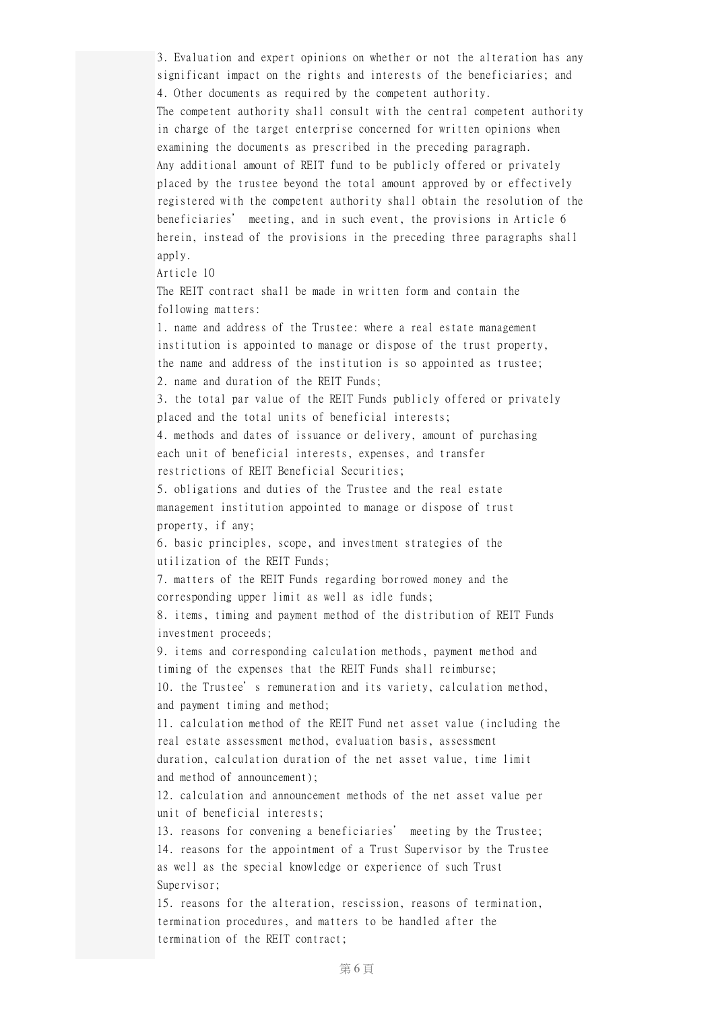3. Evaluation and expert opinions on whether or not the alteration has any significant impact on the rights and interests of the beneficiaries; and 4. Other documents as required by the competent authority. The competent authority shall consult with the central competent authority in charge of the target enterprise concerned for written opinions when examining the documents as prescribed in the preceding paragraph. Any additional amount of REIT fund to be publicly offered or privately placed by the trustee beyond the total amount approved by or effectively registered with the competent authority shall obtain the resolution of the beneficiaries' meeting, and in such event, the provisions in Article 6 herein, instead of the provisions in the preceding three paragraphs shall apply.

Article 10

The REIT contract shall be made in written form and contain the following matters:

1. name and address of the Trustee: where a real estate management institution is appointed to manage or dispose of the trust property, the name and address of the institution is so appointed as trustee; 2. name and duration of the REIT Funds;

3. the total par value of the REIT Funds publicly offered or privately placed and the total units of beneficial interests;

4. methods and dates of issuance or delivery, amount of purchasing each unit of beneficial interests, expenses, and transfer

restrictions of REIT Beneficial Securities;

5. obligations and duties of the Trustee and the real estate management institution appointed to manage or dispose of trust property, if any;

6. basic principles, scope, and investment strategies of the utilization of the REIT Funds;

7. matters of the REIT Funds regarding borrowed money and the corresponding upper limit as well as idle funds;

8. items, timing and payment method of the distribution of REIT Funds investment proceeds;

9. items and corresponding calculation methods, payment method and timing of the expenses that the REIT Funds shall reimburse; 10. the Trustee's remuneration and its variety, calculation method,

and payment timing and method;

11. calculation method of the REIT Fund net asset value (including the real estate assessment method, evaluation basis, assessment duration, calculation duration of the net asset value, time limit and method of announcement);

12. calculation and announcement methods of the net asset value per unit of beneficial interests;

13. reasons for convening a beneficiaries' meeting by the Trustee; 14. reasons for the appointment of a Trust Supervisor by the Trustee as well as the special knowledge or experience of such Trust Supervisor;

15. reasons for the alteration, rescission, reasons of termination, termination procedures, and matters to be handled after the termination of the REIT contract;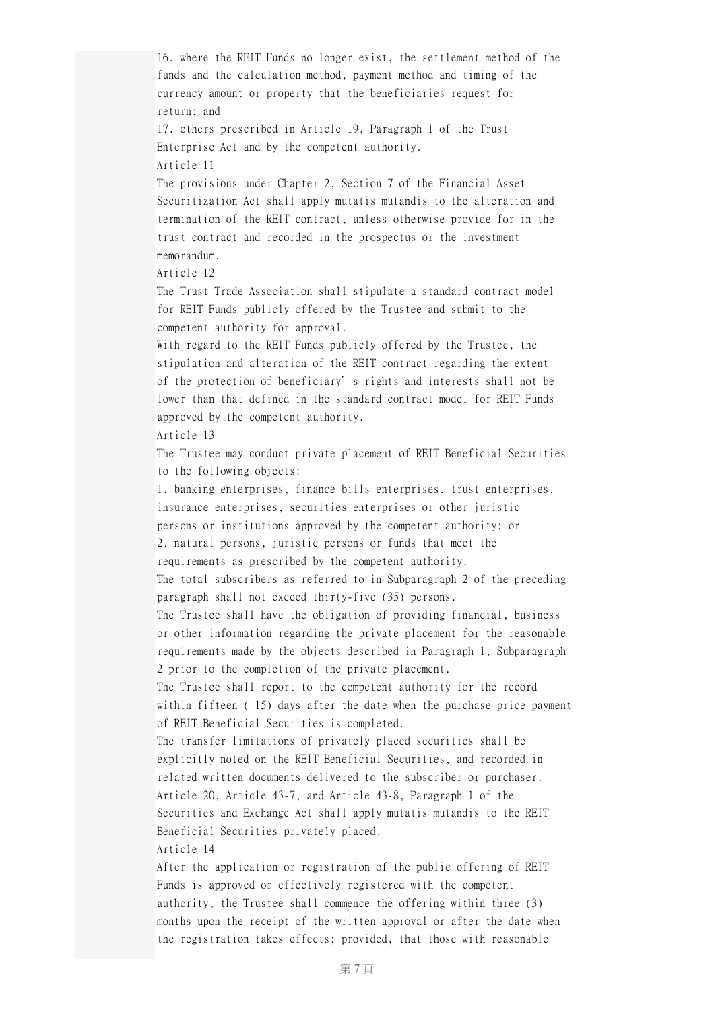16. where the REIT Funds no longer exist, the settlement method of the funds and the calculation method, payment method and timing of the currency amount or property that the beneficiaries request for return; and 17. others prescribed in Article 19, Paragraph 1 of the Trust Enterprise Act and by the competent authority. Article 11 The provisions under Chapter 2, Section 7 of the Financial Asset Securitization Act shall apply mutatis mutandis to the alteration and termination of the REIT contract, unless otherwise provide for in the trust contract and recorded in the prospectus or the investment memorandum. Article 12 The Trust Trade Association shall stipulate a standard contract model for REIT Funds publicly offered by the Trustee and submit to the competent authority for approval. With regard to the REIT Funds publicly offered by the Trustee, the stipulation and alteration of the REIT contract regarding the extent of the protection of beneficiary's rights and interests shall not be lower than that defined in the standard contract model for REIT Funds approved by the competent authority. Article 13 The Trustee may conduct private placement of REIT Beneficial Securities to the following objects: 1. banking enterprises, finance bills enterprises, trust enterprises, insurance enterprises, securities enterprises or other juristic persons or institutions approved by the competent authority; or 2. natural persons, juristic persons or funds that meet the requirements as prescribed by the competent authority. The total subscribers as referred to in Subparagraph 2 of the preceding paragraph shall not exceed thirty-five (35) persons. The Trustee shall have the obligation of providing financial, business or other information regarding the private placement for the reasonable requirements made by the objects described in Paragraph 1, Subparagraph 2 prior to the completion of the private placement. The Trustee shall report to the competent authority for the record within fifteen ( 15) days after the date when the purchase price payment of REIT Beneficial Securities is completed. The transfer limitations of privately placed securities shall be explicitly noted on the REIT Beneficial Securities, and recorded in related written documents delivered to the subscriber or purchaser. Article 20, Article 43-7, and Article 43-8, Paragraph 1 of the Securities and Exchange Act shall apply mutatis mutandis to the REIT Beneficial Securities privately placed. Article 14 After the application or registration of the public offering of REIT Funds is approved or effectively registered with the competent authority, the Trustee shall commence the offering within three (3) months upon the receipt of the written approval or after the date when

the registration takes effects; provided, that those with reasonable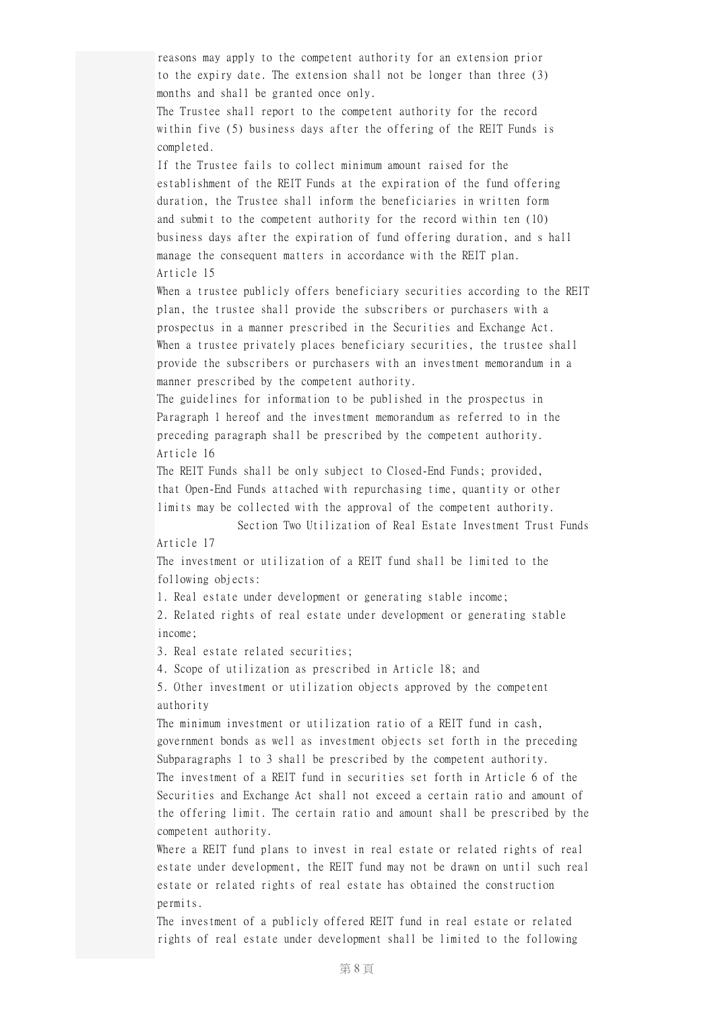reasons may apply to the competent authority for an extension prior to the expiry date. The extension shall not be longer than three (3) months and shall be granted once only. The Trustee shall report to the competent authority for the record within five (5) business days after the offering of the REIT Funds is completed. If the Trustee fails to collect minimum amount raised for the establishment of the REIT Funds at the expiration of the fund offering duration, the Trustee shall inform the beneficiaries in written form and submit to the competent authority for the record within ten (10) business days after the expiration of fund offering duration, and s hall manage the consequent matters in accordance with the REIT plan. Article 15 When a trustee publicly offers beneficiary securities according to the REIT plan, the trustee shall provide the subscribers or purchasers with a prospectus in a manner prescribed in the Securities and Exchange Act. When a trustee privately places beneficiary securities, the trustee shall provide the subscribers or purchasers with an investment memorandum in a manner prescribed by the competent authority. The guidelines for information to be published in the prospectus in Paragraph 1 hereof and the investment memorandum as referred to in the preceding paragraph shall be prescribed by the competent authority. Article 16 The REIT Funds shall be only subject to Closed-End Funds; provided, that Open-End Funds attached with repurchasing time, quantity or other limits may be collected with the approval of the competent authority. Section Two Utilization of Real Estate Investment Trust Funds Article 17 The investment or utilization of a REIT fund shall be limited to the following objects: 1. Real estate under development or generating stable income; 2. Related rights of real estate under development or generating stable income; 3. Real estate related securities; 4. Scope of utilization as prescribed in Article 18; and 5. Other investment or utilization objects approved by the competent authority The minimum investment or utilization ratio of a REIT fund in cash, government bonds as well as investment objects set forth in the preceding Subparagraphs 1 to 3 shall be prescribed by the competent authority. The investment of a REIT fund in securities set forth in Article 6 of the Securities and Exchange Act shall not exceed a certain ratio and amount of the offering limit. The certain ratio and amount shall be prescribed by the competent authority. Where a REIT fund plans to invest in real estate or related rights of real

estate under development, the REIT fund may not be drawn on until such real estate or related rights of real estate has obtained the construction permits.

The investment of a publicly offered REIT fund in real estate or related rights of real estate under development shall be limited to the following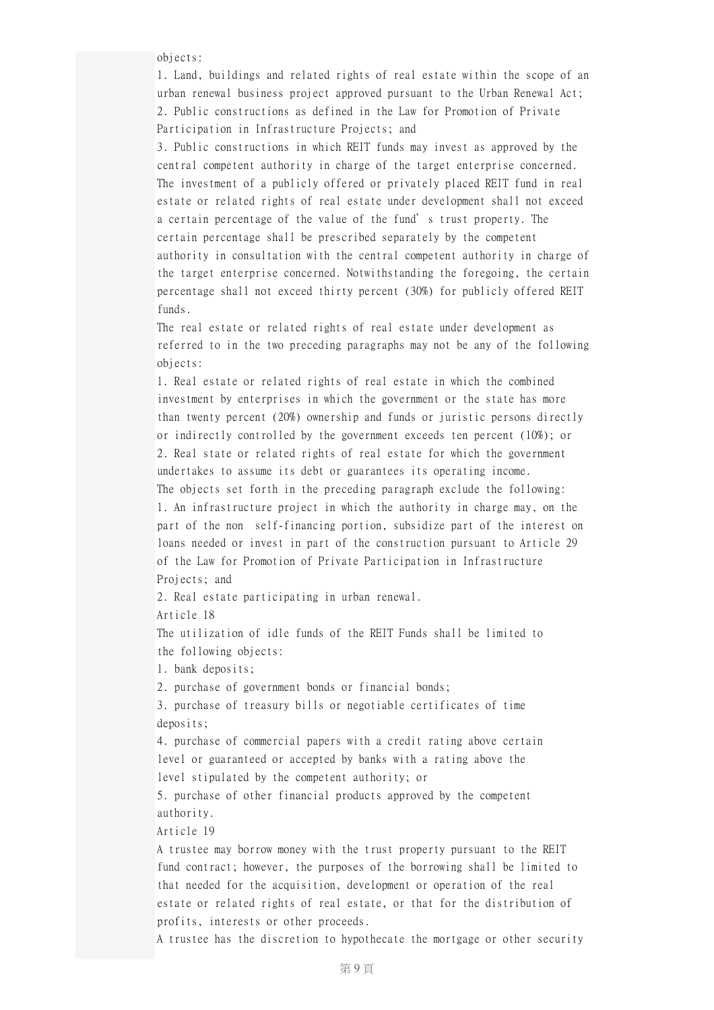objects:

1. Land, buildings and related rights of real estate within the scope of an urban renewal business project approved pursuant to the Urban Renewal Act; 2. Public constructions as defined in the Law for Promotion of Private Participation in Infrastructure Projects; and

3. Public constructions in which REIT funds may invest as approved by the central competent authority in charge of the target enterprise concerned. The investment of a publicly offered or privately placed REIT fund in real estate or related rights of real estate under development shall not exceed a certain percentage of the value of the fund's trust property. The certain percentage shall be prescribed separately by the competent authority in consultation with the central competent authority in charge of the target enterprise concerned. Notwithstanding the foregoing, the certain percentage shall not exceed thirty percent (30%) for publicly offered REIT funds.

The real estate or related rights of real estate under development as referred to in the two preceding paragraphs may not be any of the following objects:

1. Real estate or related rights of real estate in which the combined investment by enterprises in which the government or the state has more than twenty percent (20%) ownership and funds or juristic persons directly or indirectly controlled by the government exceeds ten percent (10%); or 2. Real state or related rights of real estate for which the government undertakes to assume its debt or guarantees its operating income. The objects set forth in the preceding paragraph exclude the following: 1. An infrastructure project in which the authority in charge may, on the part of the non self-financing portion, subsidize part of the interest on loans needed or invest in part of the construction pursuant to Article 29 of the Law for Promotion of Private Participation in Infrastructure Projects; and

2. Real estate participating in urban renewal.

Article 18

The utilization of idle funds of the REIT Funds shall be limited to the following objects:

1. bank deposits;

2. purchase of government bonds or financial bonds;

3. purchase of treasury bills or negotiable certificates of time deposits;

4. purchase of commercial papers with a credit rating above certain level or guaranteed or accepted by banks with a rating above the level stipulated by the competent authority; or

5. purchase of other financial products approved by the competent authority.

Article 19

A trustee may borrow money with the trust property pursuant to the REIT fund contract; however, the purposes of the borrowing shall be limited to that needed for the acquisition, development or operation of the real estate or related rights of real estate, or that for the distribution of profits, interests or other proceeds.

A trustee has the discretion to hypothecate the mortgage or other security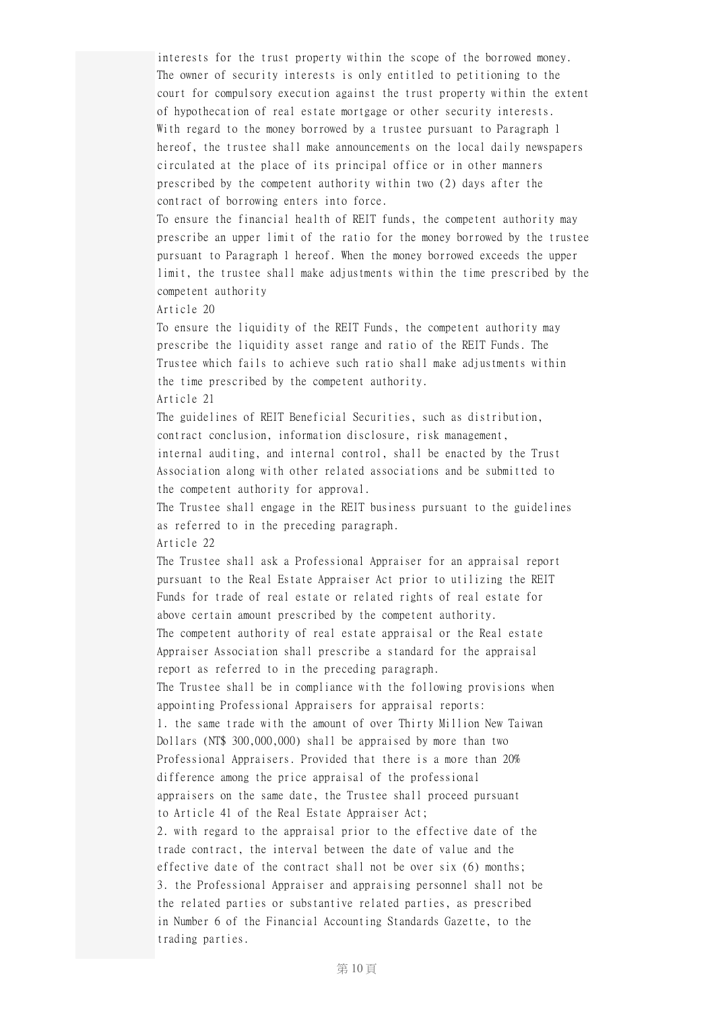interests for the trust property within the scope of the borrowed money. The owner of security interests is only entitled to petitioning to the court for compulsory execution against the trust property within the extent of hypothecation of real estate mortgage or other security interests. With regard to the money borrowed by a trustee pursuant to Paragraph 1 hereof, the trustee shall make announcements on the local daily newspapers circulated at the place of its principal office or in other manners prescribed by the competent authority within two (2) days after the contract of borrowing enters into force.

To ensure the financial health of REIT funds, the competent authority may prescribe an upper limit of the ratio for the money borrowed by the trustee pursuant to Paragraph 1 hereof. When the money borrowed exceeds the upper limit, the trustee shall make adjustments within the time prescribed by the competent authority

Article 20

To ensure the liquidity of the REIT Funds, the competent authority may prescribe the liquidity asset range and ratio of the REIT Funds. The Trustee which fails to achieve such ratio shall make adjustments within the time prescribed by the competent authority. Article 21

The guidelines of REIT Beneficial Securities, such as distribution, contract conclusion, information disclosure, risk management, internal auditing, and internal control, shall be enacted by the Trust Association along with other related associations and be submitted to the competent authority for approval.

The Trustee shall engage in the REIT business pursuant to the guidelines as referred to in the preceding paragraph. Article 22

The Trustee shall ask a Professional Appraiser for an appraisal report pursuant to the Real Estate Appraiser Act prior to utilizing the REIT Funds for trade of real estate or related rights of real estate for above certain amount prescribed by the competent authority. The competent authority of real estate appraisal or the Real estate Appraiser Association shall prescribe a standard for the appraisal report as referred to in the preceding paragraph. The Trustee shall be in compliance with the following provisions when appointing Professional Appraisers for appraisal reports: 1. the same trade with the amount of over Thirty Million New Taiwan Dollars (NT\$ 300,000,000) shall be appraised by more than two Professional Appraisers. Provided that there is a more than 20% difference among the price appraisal of the professional appraisers on the same date, the Trustee shall proceed pursuant to Article 41 of the Real Estate Appraiser Act; 2. with regard to the appraisal prior to the effective date of the trade contract, the interval between the date of value and the effective date of the contract shall not be over six (6) months; 3. the Professional Appraiser and appraising personnel shall not be the related parties or substantive related parties, as prescribed in Number 6 of the Financial Accounting Standards Gazette, to the trading parties.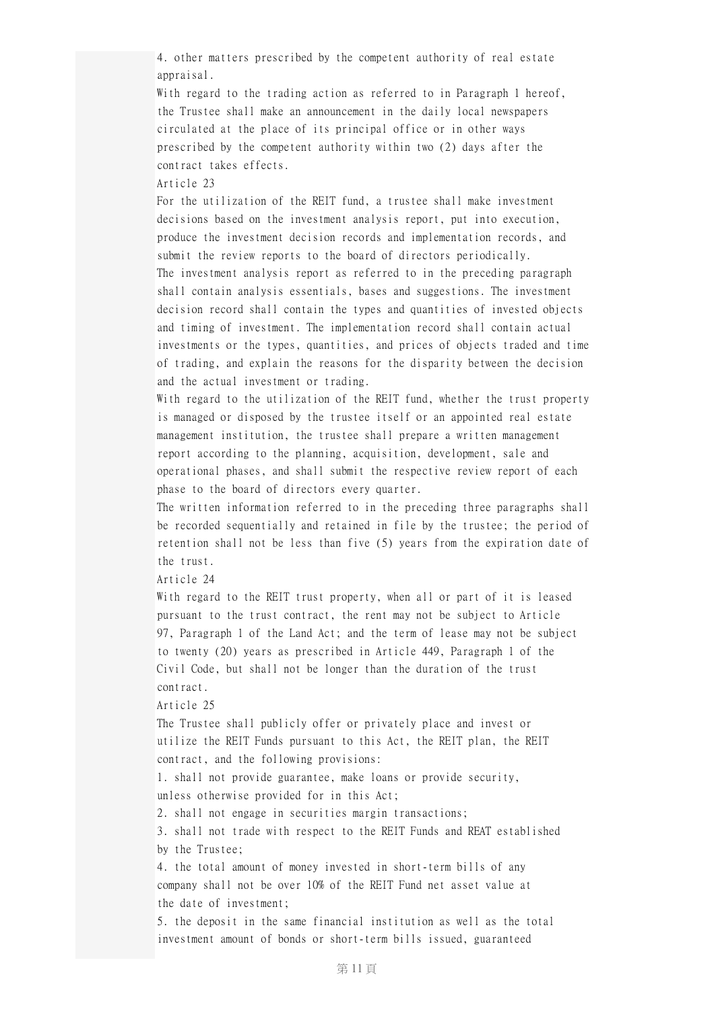4. other matters prescribed by the competent authority of real estate appraisal.

With regard to the trading action as referred to in Paragraph 1 hereof, the Trustee shall make an announcement in the daily local newspapers circulated at the place of its principal office or in other ways prescribed by the competent authority within two (2) days after the contract takes effects.

Article 23

For the utilization of the REIT fund, a trustee shall make investment decisions based on the investment analysis report, put into execution, produce the investment decision records and implementation records, and submit the review reports to the board of directors periodically. The investment analysis report as referred to in the preceding paragraph shall contain analysis essentials, bases and suggestions. The investment decision record shall contain the types and quantities of invested objects and timing of investment. The implementation record shall contain actual investments or the types, quantities, and prices of objects traded and time of trading, and explain the reasons for the disparity between the decision and the actual investment or trading.

With regard to the utilization of the REIT fund, whether the trust property is managed or disposed by the trustee itself or an appointed real estate management institution, the trustee shall prepare a written management report according to the planning, acquisition, development, sale and operational phases, and shall submit the respective review report of each phase to the board of directors every quarter.

The written information referred to in the preceding three paragraphs shall be recorded sequentially and retained in file by the trustee; the period of retention shall not be less than five (5) years from the expiration date of the trust.

Article 24

With regard to the REIT trust property, when all or part of it is leased pursuant to the trust contract, the rent may not be subject to Article 97, Paragraph 1 of the Land Act; and the term of lease may not be subject to twenty (20) years as prescribed in Article 449, Paragraph 1 of the Civil Code, but shall not be longer than the duration of the trust contract.

Article 25

The Trustee shall publicly offer or privately place and invest or utilize the REIT Funds pursuant to this Act, the REIT plan, the REIT contract, and the following provisions:

1. shall not provide guarantee, make loans or provide security, unless otherwise provided for in this Act;

2. shall not engage in securities margin transactions;

3. shall not trade with respect to the REIT Funds and REAT established by the Trustee;

4. the total amount of money invested in short-term bills of any company shall not be over 10% of the REIT Fund net asset value at the date of investment;

5. the deposit in the same financial institution as well as the total investment amount of bonds or short-term bills issued, guaranteed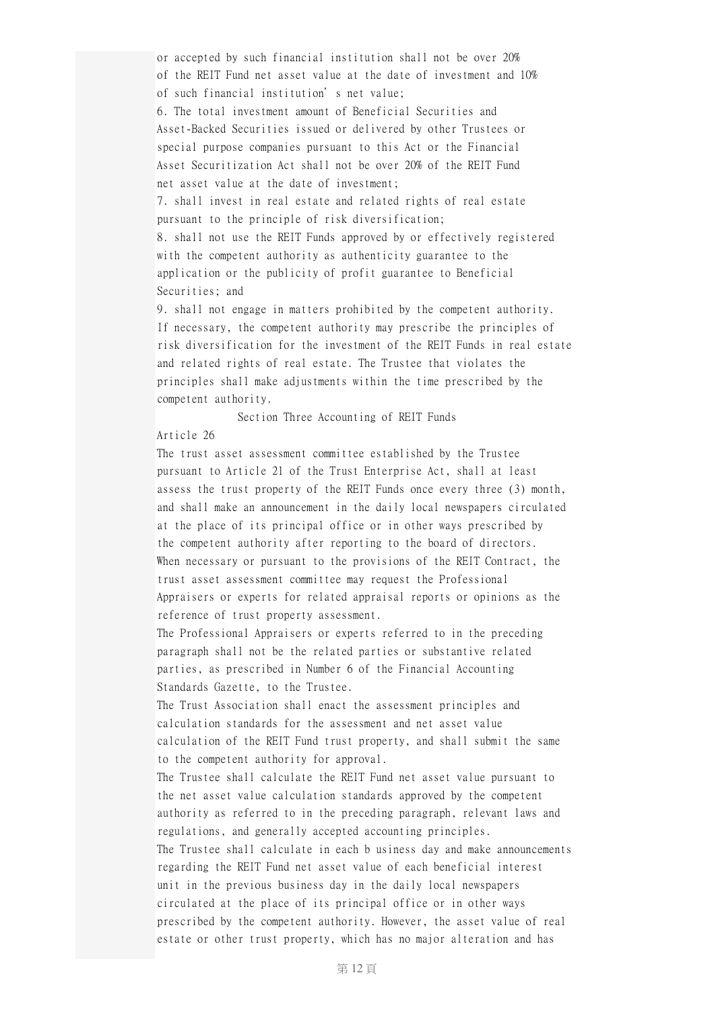or accepted by such financial institution shall not be over 20% of the REIT Fund net asset value at the date of investment and 10% of such financial institution's net value; 6. The total investment amount of Beneficial Securities and Asset-Backed Securities issued or delivered by other Trustees or special purpose companies pursuant to this Act or the Financial

Asset Securitization Act shall not be over 20% of the REIT Fund net asset value at the date of investment;

7. shall invest in real estate and related rights of real estate pursuant to the principle of risk diversification;

8. shall not use the REIT Funds approved by or effectively registered with the competent authority as authenticity guarantee to the application or the publicity of profit guarantee to Beneficial Securities; and

9. shall not engage in matters prohibited by the competent authority. If necessary, the competent authority may prescribe the principles of risk diversification for the investment of the REIT Funds in real estate and related rights of real estate. The Trustee that violates the principles shall make adjustments within the time prescribed by the competent authority.

Section Three Accounting of REIT Funds

# Article 26

The trust asset assessment committee established by the Trustee pursuant to Article 21 of the Trust Enterprise Act, shall at least assess the trust property of the REIT Funds once every three (3) month, and shall make an announcement in the daily local newspapers circulated at the place of its principal office or in other ways prescribed by the competent authority after reporting to the board of directors. When necessary or pursuant to the provisions of the REIT Contract, the trust asset assessment committee may request the Professional Appraisers or experts for related appraisal reports or opinions as the reference of trust property assessment.

The Professional Appraisers or experts referred to in the preceding paragraph shall not be the related parties or substantive related parties, as prescribed in Number 6 of the Financial Accounting Standards Gazette, to the Trustee.

The Trust Association shall enact the assessment principles and calculation standards for the assessment and net asset value calculation of the REIT Fund trust property, and shall submit the same to the competent authority for approval.

The Trustee shall calculate the REIT Fund net asset value pursuant to the net asset value calculation standards approved by the competent authority as referred to in the preceding paragraph, relevant laws and regulations, and generally accepted accounting principles. The Trustee shall calculate in each b usiness day and make announcements regarding the REIT Fund net asset value of each beneficial interest unit in the previous business day in the daily local newspapers circulated at the place of its principal office or in other ways prescribed by the competent authority. However, the asset value of real estate or other trust property, which has no major alteration and has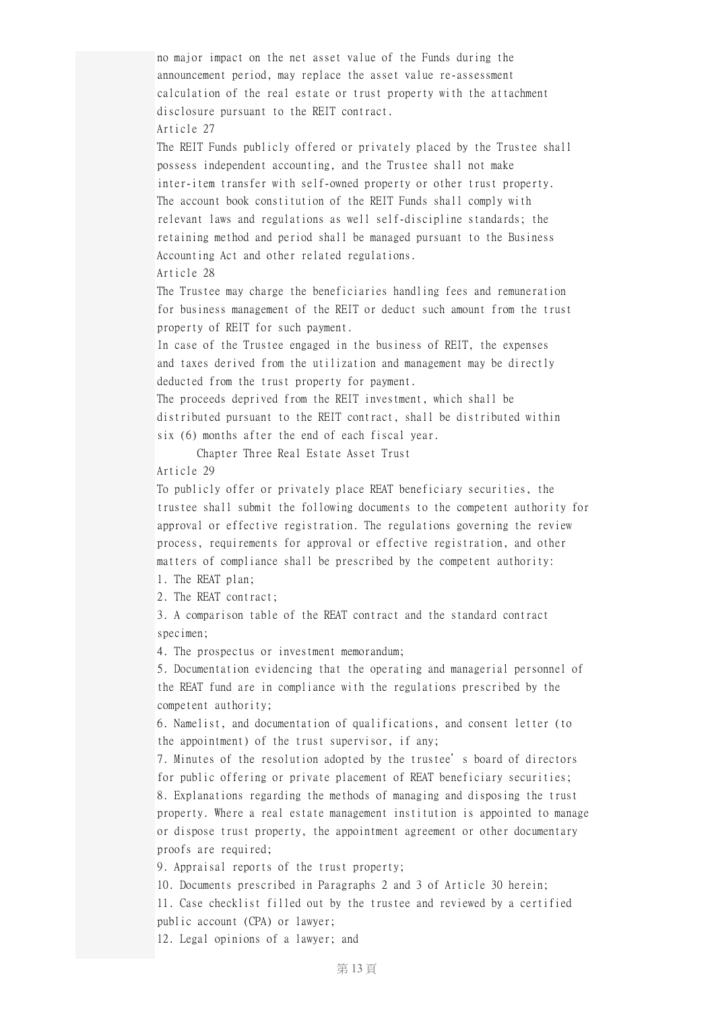no major impact on the net asset value of the Funds during the announcement period, may replace the asset value re-assessment calculation of the real estate or trust property with the attachment disclosure pursuant to the REIT contract. Article 27

The REIT Funds publicly offered or privately placed by the Trustee shall possess independent accounting, and the Trustee shall not make inter-item transfer with self-owned property or other trust property. The account book constitution of the REIT Funds shall comply with relevant laws and regulations as well self-discipline standards; the retaining method and period shall be managed pursuant to the Business Accounting Act and other related regulations. Article 28

The Trustee may charge the beneficiaries handling fees and remuneration for business management of the REIT or deduct such amount from the trust property of REIT for such payment.

In case of the Trustee engaged in the business of REIT, the expenses and taxes derived from the utilization and management may be directly deducted from the trust property for payment.

The proceeds deprived from the REIT investment, which shall be distributed pursuant to the REIT contract, shall be distributed within six (6) months after the end of each fiscal year.

Chapter Three Real Estate Asset Trust

#### Article 29

To publicly offer or privately place REAT beneficiary securities, the trustee shall submit the following documents to the competent authority for approval or effective registration. The regulations governing the review process, requirements for approval or effective registration, and other matters of compliance shall be prescribed by the competent authority:

1. The REAT plan;

2. The REAT contract;

3. A comparison table of the REAT contract and the standard contract specimen;

4. The prospectus or investment memorandum;

5. Documentation evidencing that the operating and managerial personnel of the REAT fund are in compliance with the regulations prescribed by the competent authority;

6. Namelist, and documentation of qualifications, and consent letter (to the appointment) of the trust supervisor, if any;

7. Minutes of the resolution adopted by the trustee's board of directors for public offering or private placement of REAT beneficiary securities; 8. Explanations regarding the methods of managing and disposing the trust property. Where a real estate management institution is appointed to manage or dispose trust property, the appointment agreement or other documentary proofs are required;

9. Appraisal reports of the trust property;

10. Documents prescribed in Paragraphs 2 and 3 of Article 30 herein;

11. Case checklist filled out by the trustee and reviewed by a certified public account (CPA) or lawyer;

12. Legal opinions of a lawyer; and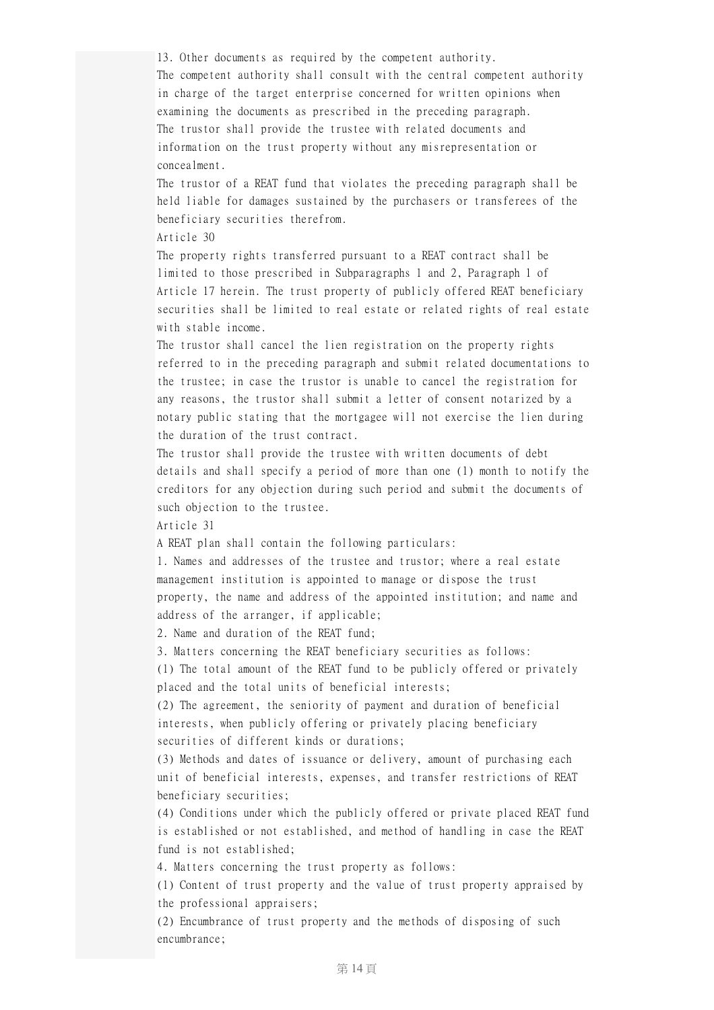13. Other documents as required by the competent authority. The competent authority shall consult with the central competent authority in charge of the target enterprise concerned for written opinions when examining the documents as prescribed in the preceding paragraph. The trustor shall provide the trustee with related documents and information on the trust property without any misrepresentation or concealment.

The trustor of a REAT fund that violates the preceding paragraph shall be held liable for damages sustained by the purchasers or transferees of the beneficiary securities therefrom.

Article 30

The property rights transferred pursuant to a REAT contract shall be limited to those prescribed in Subparagraphs 1 and 2, Paragraph 1 of Article 17 herein. The trust property of publicly offered REAT beneficiary securities shall be limited to real estate or related rights of real estate with stable income.

The trustor shall cancel the lien registration on the property rights referred to in the preceding paragraph and submit related documentations to the trustee; in case the trustor is unable to cancel the registration for any reasons, the trustor shall submit a letter of consent notarized by a notary public stating that the mortgagee will not exercise the lien during the duration of the trust contract.

The trustor shall provide the trustee with written documents of debt details and shall specify a period of more than one (1) month to notify the creditors for any objection during such period and submit the documents of such objection to the trustee.

Article 31

A REAT plan shall contain the following particulars:

1. Names and addresses of the trustee and trustor; where a real estate management institution is appointed to manage or dispose the trust property, the name and address of the appointed institution; and name and address of the arranger, if applicable;

2. Name and duration of the REAT fund;

3. Matters concerning the REAT beneficiary securities as follows:

(1) The total amount of the REAT fund to be publicly offered or privately placed and the total units of beneficial interests;

(2) The agreement, the seniority of payment and duration of beneficial interests, when publicly offering or privately placing beneficiary securities of different kinds or durations;

(3) Methods and dates of issuance or delivery, amount of purchasing each unit of beneficial interests, expenses, and transfer restrictions of REAT beneficiary securities;

(4) Conditions under which the publicly offered or private placed REAT fund is established or not established, and method of handling in case the REAT fund is not established;

4. Matters concerning the trust property as follows:

(1) Content of trust property and the value of trust property appraised by the professional appraisers;

(2) Encumbrance of trust property and the methods of disposing of such encumbrance;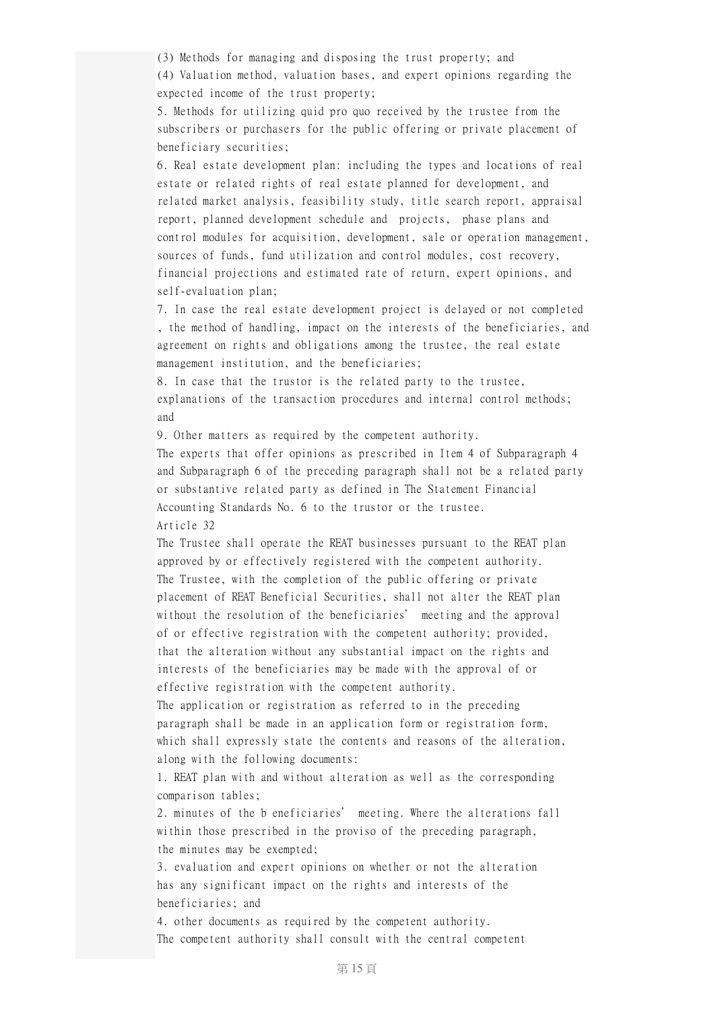(3) Methods for managing and disposing the trust property; and (4) Valuation method, valuation bases, and expert opinions regarding the expected income of the trust property;

5. Methods for utilizing quid pro quo received by the trustee from the subscribers or purchasers for the public offering or private placement of beneficiary securities;

6. Real estate development plan: including the types and locations of real estate or related rights of real estate planned for development, and related market analysis, feasibility study, title search report, appraisal report, planned development schedule and projects, phase plans and control modules for acquisition, development, sale or operation management, sources of funds, fund utilization and control modules, cost recovery, financial projections and estimated rate of return, expert opinions, and self-evaluation plan;

7. In case the real estate development project is delayed or not completed , the method of handling, impact on the interests of the beneficiaries, and agreement on rights and obligations among the trustee, the real estate management institution, and the beneficiaries;

8. In case that the trustor is the related party to the trustee, explanations of the transaction procedures and internal control methods; and

9. Other matters as required by the competent authority.

The experts that offer opinions as prescribed in Item 4 of Subparagraph 4 and Subparagraph 6 of the preceding paragraph shall not be a related party or substantive related party as defined in The Statement Financial Accounting Standards No. 6 to the trustor or the trustee. Article 32

The Trustee shall operate the REAT businesses pursuant to the REAT plan approved by or effectively registered with the competent authority. The Trustee, with the completion of the public offering or private placement of REAT Beneficial Securities, shall not alter the REAT plan without the resolution of the beneficiaries' meeting and the approval of or effective registration with the competent authority; provided, that the alteration without any substantial impact on the rights and interests of the beneficiaries may be made with the approval of or effective registration with the competent authority.

The application or registration as referred to in the preceding paragraph shall be made in an application form or registration form, which shall expressly state the contents and reasons of the alteration, along with the following documents:

1. REAT plan with and without alteration as well as the corresponding comparison tables;

2. minutes of the b eneficiaries' meeting. Where the alterations fall within those prescribed in the proviso of the preceding paragraph, the minutes may be exempted;

3. evaluation and expert opinions on whether or not the alteration has any significant impact on the rights and interests of the beneficiaries; and

4. other documents as required by the competent authority. The competent authority shall consult with the central competent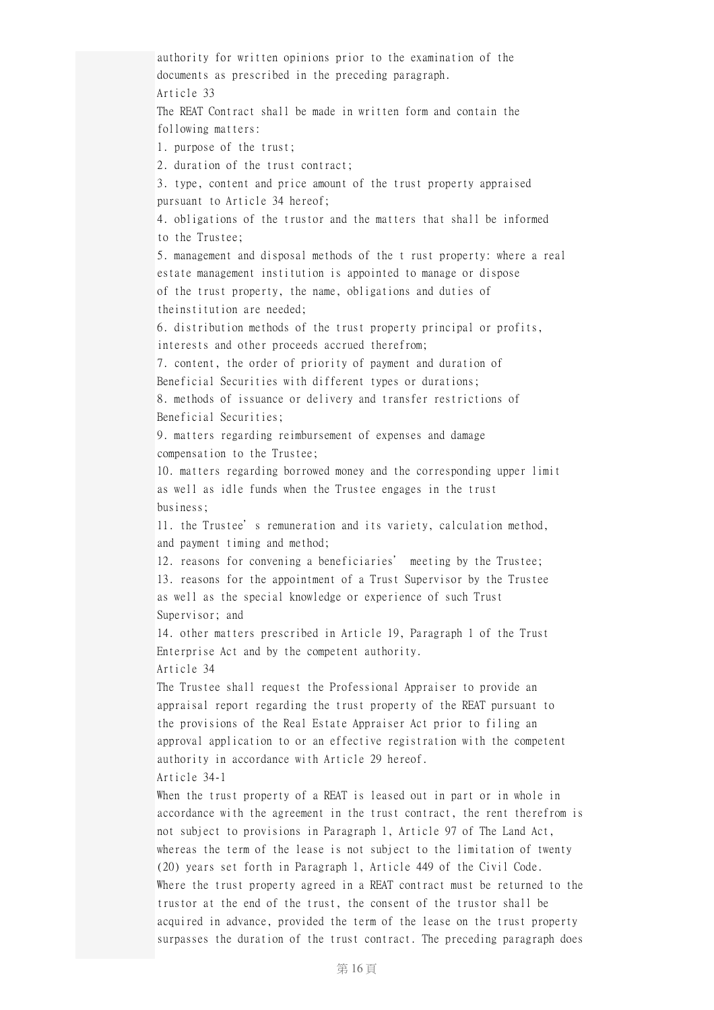authority for written opinions prior to the examination of the documents as prescribed in the preceding paragraph. Article 33 The REAT Contract shall be made in written form and contain the following matters: 1. purpose of the trust; 2. duration of the trust contract; 3. type, content and price amount of the trust property appraised pursuant to Article 34 hereof; 4. obligations of the trustor and the matters that shall be informed to the Trustee; 5. management and disposal methods of the t rust property: where a real estate management institution is appointed to manage or dispose of the trust property, the name, obligations and duties of theinstitution are needed; 6. distribution methods of the trust property principal or profits, interests and other proceeds accrued therefrom; 7. content, the order of priority of payment and duration of Beneficial Securities with different types or durations; 8. methods of issuance or delivery and transfer restrictions of Beneficial Securities; 9. matters regarding reimbursement of expenses and damage compensation to the Trustee; 10. matters regarding borrowed money and the corresponding upper limit as well as idle funds when the Trustee engages in the trust business; 11. the Trustee's remuneration and its variety, calculation method, and payment timing and method; 12. reasons for convening a beneficiaries' meeting by the Trustee; 13. reasons for the appointment of a Trust Supervisor by the Trustee as well as the special knowledge or experience of such Trust Supervisor; and 14. other matters prescribed in Article 19, Paragraph 1 of the Trust Enterprise Act and by the competent authority. Article 34 The Trustee shall request the Professional Appraiser to provide an appraisal report regarding the trust property of the REAT pursuant to the provisions of the Real Estate Appraiser Act prior to filing an approval application to or an effective registration with the competent authority in accordance with Article 29 hereof. Article 34-1 When the trust property of a REAT is leased out in part or in whole in accordance with the agreement in the trust contract, the rent therefrom is not subject to provisions in Paragraph 1, Article 97 of The Land Act, whereas the term of the lease is not subject to the limitation of twenty (20) years set forth in Paragraph 1, Article 449 of the Civil Code. Where the trust property agreed in a REAT contract must be returned to the trustor at the end of the trust, the consent of the trustor shall be acquired in advance, provided the term of the lease on the trust property surpasses the duration of the trust contract. The preceding paragraph does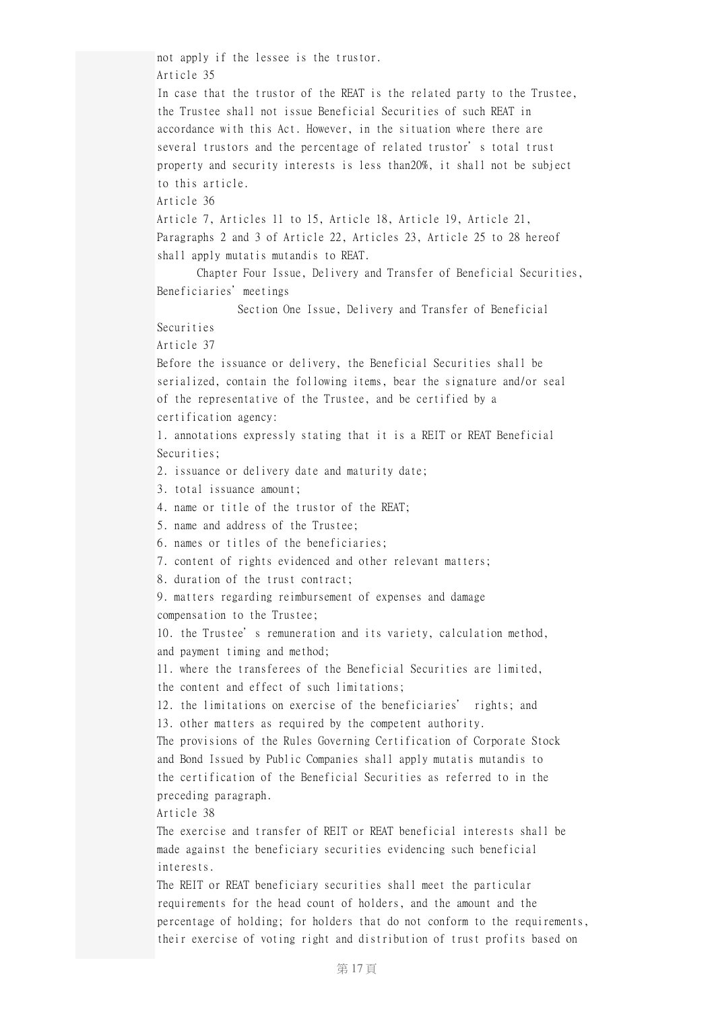not apply if the lessee is the trustor. Article 35 In case that the trustor of the REAT is the related party to the Trustee, the Trustee shall not issue Beneficial Securities of such REAT in accordance with this Act. However, in the situation where there are several trustors and the percentage of related trustor's total trust property and security interests is less than20%, it shall not be subject to this article. Article 36 Article 7, Articles 11 to 15, Article 18, Article 19, Article 21, Paragraphs 2 and 3 of Article 22, Articles 23, Article 25 to 28 hereof shall apply mutatis mutandis to REAT. Chapter Four Issue, Delivery and Transfer of Beneficial Securities, Beneficiaries'meetings Section One Issue, Delivery and Transfer of Beneficial Securities Article 37 Before the issuance or delivery, the Beneficial Securities shall be serialized, contain the following items, bear the signature and/or seal of the representative of the Trustee, and be certified by a certification agency: 1. annotations expressly stating that it is a REIT or REAT Beneficial Securities; 2. issuance or delivery date and maturity date; 3. total issuance amount; 4. name or title of the trustor of the REAT; 5. name and address of the Trustee; 6. names or titles of the beneficiaries; 7. content of rights evidenced and other relevant matters; 8. duration of the trust contract; 9. matters regarding reimbursement of expenses and damage compensation to the Trustee; 10. the Trustee's remuneration and its variety, calculation method, and payment timing and method; 11. where the transferees of the Beneficial Securities are limited, the content and effect of such limitations; 12. the limitations on exercise of the beneficiaries' rights; and 13. other matters as required by the competent authority. The provisions of the Rules Governing Certification of Corporate Stock and Bond Issued by Public Companies shall apply mutatis mutandis to the certification of the Beneficial Securities as referred to in the preceding paragraph. Article 38 The exercise and transfer of REIT or REAT beneficial interests shall be made against the beneficiary securities evidencing such beneficial interests. The REIT or REAT beneficiary securities shall meet the particular requirements for the head count of holders, and the amount and the percentage of holding; for holders that do not conform to the requirements, their exercise of voting right and distribution of trust profits based on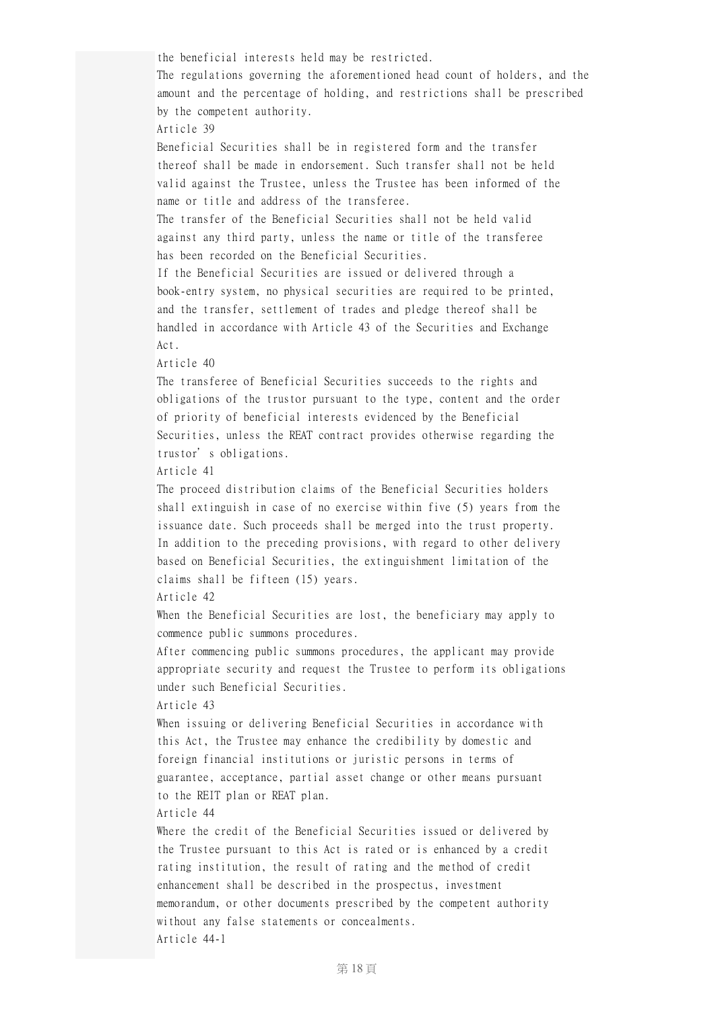the beneficial interests held may be restricted. The regulations governing the aforementioned head count of holders, and the amount and the percentage of holding, and restrictions shall be prescribed by the competent authority. Article 39 Beneficial Securities shall be in registered form and the transfer thereof shall be made in endorsement. Such transfer shall not be held valid against the Trustee, unless the Trustee has been informed of the name or title and address of the transferee. The transfer of the Beneficial Securities shall not be held valid against any third party, unless the name or title of the transferee has been recorded on the Beneficial Securities. If the Beneficial Securities are issued or delivered through a book-entry system, no physical securities are required to be printed, and the transfer, settlement of trades and pledge thereof shall be handled in accordance with Article 43 of the Securities and Exchange Act. Article 40 The transferee of Beneficial Securities succeeds to the rights and obligations of the trustor pursuant to the type, content and the order of priority of beneficial interests evidenced by the Beneficial Securities, unless the REAT contract provides otherwise regarding the trustor's obligations. Article 41 The proceed distribution claims of the Beneficial Securities holders shall extinguish in case of no exercise within five (5) years from the issuance date. Such proceeds shall be merged into the trust property. In addition to the preceding provisions, with regard to other delivery based on Beneficial Securities, the extinguishment limitation of the claims shall be fifteen (15) years. Article 42 When the Beneficial Securities are lost, the beneficiary may apply to commence public summons procedures. After commencing public summons procedures, the applicant may provide appropriate security and request the Trustee to perform its obligations under such Beneficial Securities. Article 43 When issuing or delivering Beneficial Securities in accordance with this Act, the Trustee may enhance the credibility by domestic and foreign financial institutions or juristic persons in terms of guarantee, acceptance, partial asset change or other means pursuant to the REIT plan or REAT plan. Article 44 Where the credit of the Beneficial Securities issued or delivered by the Trustee pursuant to this Act is rated or is enhanced by a credit rating institution, the result of rating and the method of credit enhancement shall be described in the prospectus, investment memorandum, or other documents prescribed by the competent authority without any false statements or concealments. Article 44-1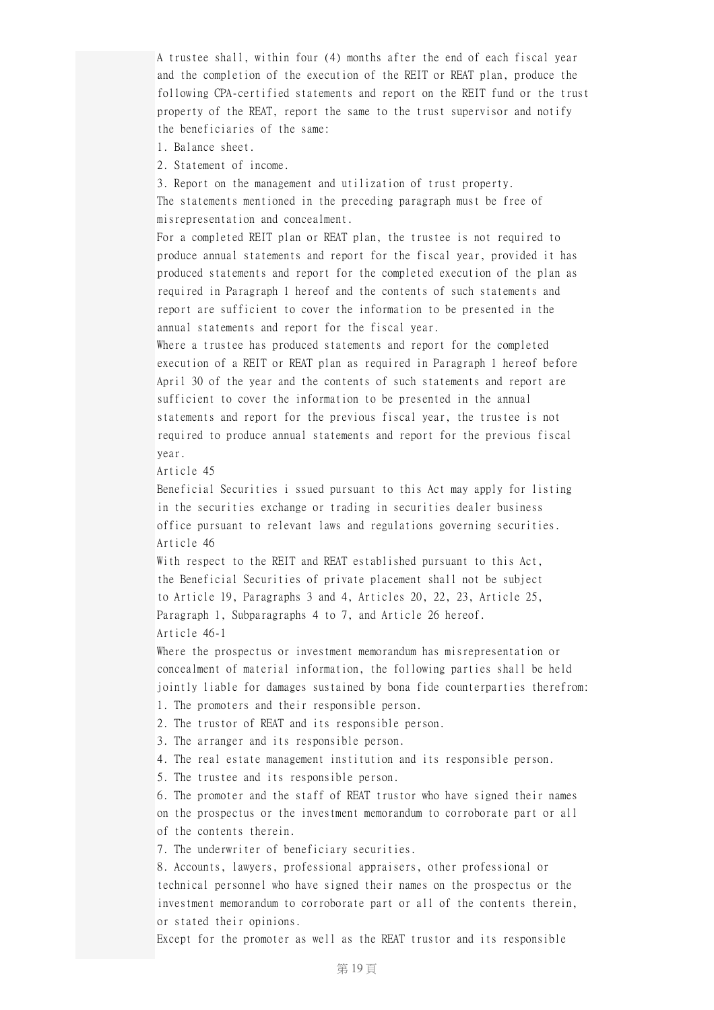A trustee shall, within four (4) months after the end of each fiscal year and the completion of the execution of the REIT or REAT plan, produce the following CPA-certified statements and report on the REIT fund or the trust property of the REAT, report the same to the trust supervisor and notify the beneficiaries of the same:

- 1. Balance sheet.
- 2. Statement of income.

3. Report on the management and utilization of trust property. The statements mentioned in the preceding paragraph must be free of misrepresentation and concealment.

For a completed REIT plan or REAT plan, the trustee is not required to produce annual statements and report for the fiscal year, provided it has produced statements and report for the completed execution of the plan as required in Paragraph 1 hereof and the contents of such statements and report are sufficient to cover the information to be presented in the annual statements and report for the fiscal year.

Where a trustee has produced statements and report for the completed execution of a REIT or REAT plan as required in Paragraph 1 hereof before April 30 of the year and the contents of such statements and report are sufficient to cover the information to be presented in the annual statements and report for the previous fiscal year, the trustee is not required to produce annual statements and report for the previous fiscal year.

Article 45

Beneficial Securities i ssued pursuant to this Act may apply for listing in the securities exchange or trading in securities dealer business office pursuant to relevant laws and regulations governing securities. Article 46

With respect to the REIT and REAT established pursuant to this Act, the Beneficial Securities of private placement shall not be subject to Article 19, Paragraphs 3 and 4, Articles 20, 22, 23, Article 25, Paragraph 1, Subparagraphs 4 to 7, and Article 26 hereof. Article 46-1

Where the prospectus or investment memorandum has misrepresentation or concealment of material information, the following parties shall be held jointly liable for damages sustained by bona fide counterparties therefrom: 1. The promoters and their responsible person.

2. The trustor of REAT and its responsible person.

3. The arranger and its responsible person.

4. The real estate management institution and its responsible person.

5. The trustee and its responsible person.

6. The promoter and the staff of REAT trustor who have signed their names on the prospectus or the investment memorandum to corroborate part or all of the contents therein.

7. The underwriter of beneficiary securities.

8. Accounts, lawyers, professional appraisers, other professional or technical personnel who have signed their names on the prospectus or the investment memorandum to corroborate part or all of the contents therein, or stated their opinions.

Except for the promoter as well as the REAT trustor and its responsible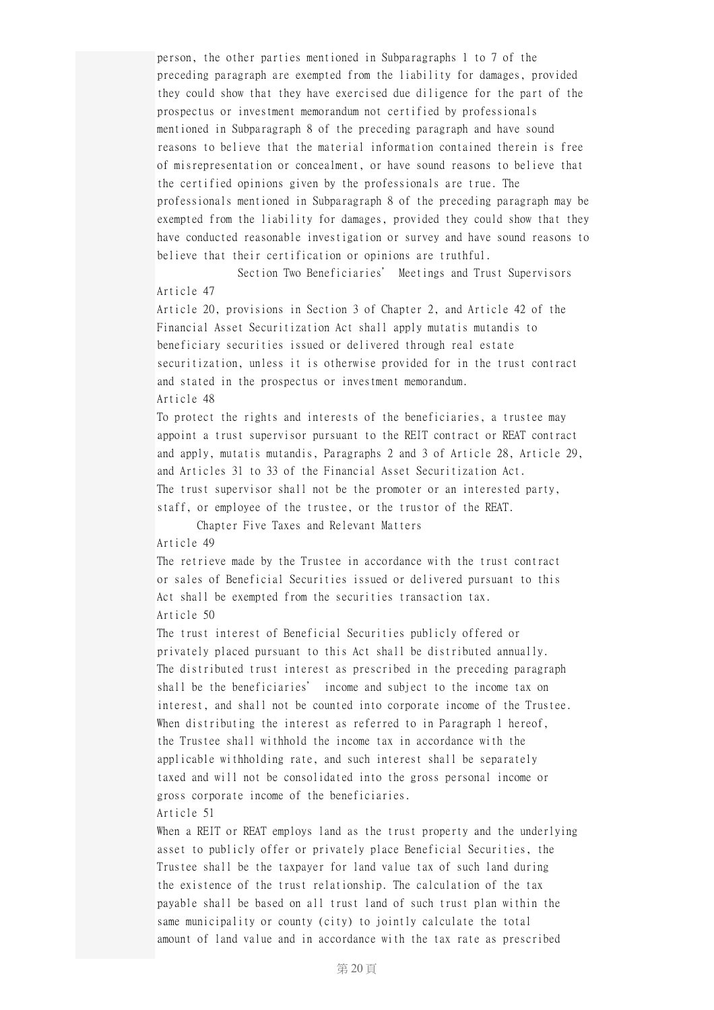person, the other parties mentioned in Subparagraphs 1 to 7 of the preceding paragraph are exempted from the liability for damages, provided they could show that they have exercised due diligence for the part of the prospectus or investment memorandum not certified by professionals mentioned in Subparagraph 8 of the preceding paragraph and have sound reasons to believe that the material information contained therein is free of misrepresentation or concealment, or have sound reasons to believe that the certified opinions given by the professionals are true. The professionals mentioned in Subparagraph 8 of the preceding paragraph may be exempted from the liability for damages, provided they could show that they have conducted reasonable investigation or survey and have sound reasons to believe that their certification or opinions are truthful.

Section Two Beneficiaries' Meetings and Trust Supervisors Article 47

Article 20, provisions in Section 3 of Chapter 2, and Article 42 of the Financial Asset Securitization Act shall apply mutatis mutandis to beneficiary securities issued or delivered through real estate securitization, unless it is otherwise provided for in the trust contract and stated in the prospectus or investment memorandum. Article 48

To protect the rights and interests of the beneficiaries, a trustee may appoint a trust supervisor pursuant to the REIT contract or REAT contract and apply, mutatis mutandis, Paragraphs 2 and 3 of Article 28, Article 29, and Articles 31 to 33 of the Financial Asset Securitization Act. The trust supervisor shall not be the promoter or an interested party, staff, or employee of the trustee, or the trustor of the REAT.

Chapter Five Taxes and Relevant Matters Article 49

The retrieve made by the Trustee in accordance with the trust contract or sales of Beneficial Securities issued or delivered pursuant to this Act shall be exempted from the securities transaction tax. Article 50

The trust interest of Beneficial Securities publicly offered or privately placed pursuant to this Act shall be distributed annually. The distributed trust interest as prescribed in the preceding paragraph shall be the beneficiaries' income and subject to the income tax on interest, and shall not be counted into corporate income of the Trustee. When distributing the interest as referred to in Paragraph 1 hereof, the Trustee shall withhold the income tax in accordance with the applicable withholding rate, and such interest shall be separately taxed and will not be consolidated into the gross personal income or gross corporate income of the beneficiaries. Article 51

When a REIT or REAT employs land as the trust property and the underlying asset to publicly offer or privately place Beneficial Securities, the Trustee shall be the taxpayer for land value tax of such land during the existence of the trust relationship. The calculation of the tax payable shall be based on all trust land of such trust plan within the same municipality or county (city) to jointly calculate the total amount of land value and in accordance with the tax rate as prescribed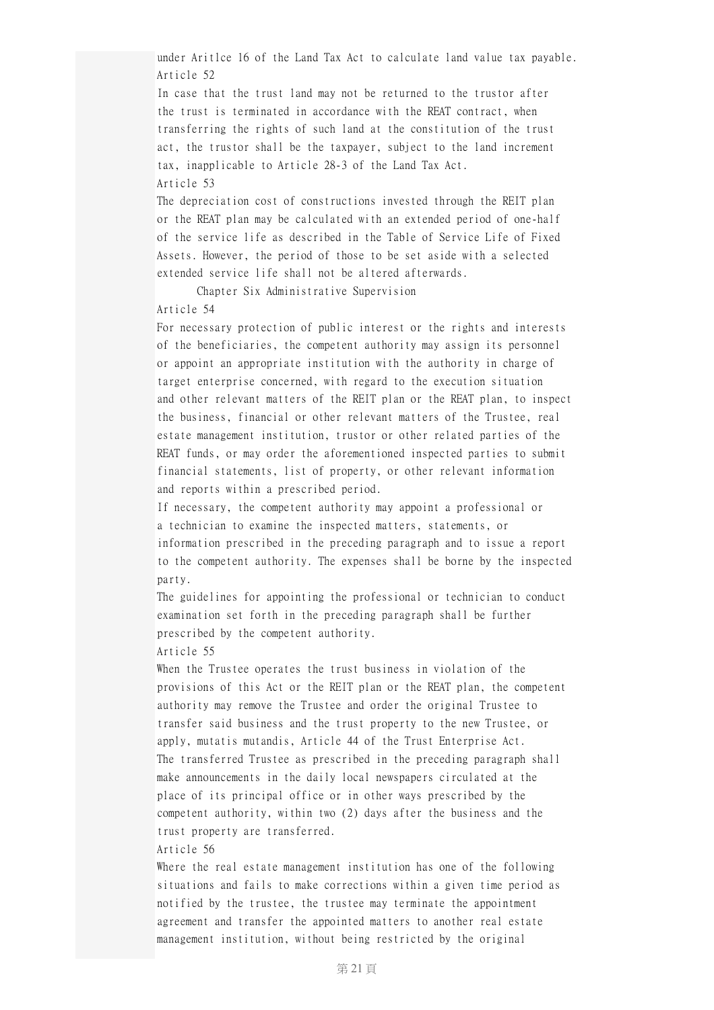under Aritlce 16 of the Land Tax Act to calculate land value tax payable. Article 52

In case that the trust land may not be returned to the trustor after the trust is terminated in accordance with the REAT contract, when transferring the rights of such land at the constitution of the trust act, the trustor shall be the taxpayer, subject to the land increment tax, inapplicable to Article 28-3 of the Land Tax Act. Article 53

The depreciation cost of constructions invested through the REIT plan or the REAT plan may be calculated with an extended period of one-half of the service life as described in the Table of Service Life of Fixed Assets. However, the period of those to be set aside with a selected extended service life shall not be altered afterwards.

Chapter Six Administrative Supervision

# Article 54

For necessary protection of public interest or the rights and interests of the beneficiaries, the competent authority may assign its personnel or appoint an appropriate institution with the authority in charge of target enterprise concerned, with regard to the execution situation and other relevant matters of the REIT plan or the REAT plan, to inspect the business, financial or other relevant matters of the Trustee, real estate management institution, trustor or other related parties of the REAT funds, or may order the aforementioned inspected parties to submit financial statements, list of property, or other relevant information and reports within a prescribed period.

If necessary, the competent authority may appoint a professional or a technician to examine the inspected matters, statements, or information prescribed in the preceding paragraph and to issue a report to the competent authority. The expenses shall be borne by the inspected party.

The guidelines for appointing the professional or technician to conduct examination set forth in the preceding paragraph shall be further prescribed by the competent authority.

## Article 55

When the Trustee operates the trust business in violation of the provisions of this Act or the REIT plan or the REAT plan, the competent authority may remove the Trustee and order the original Trustee to transfer said business and the trust property to the new Trustee, or apply, mutatis mutandis, Article 44 of the Trust Enterprise Act. The transferred Trustee as prescribed in the preceding paragraph shall make announcements in the daily local newspapers circulated at the place of its principal office or in other ways prescribed by the competent authority, within two (2) days after the business and the trust property are transferred.

## Article 56

Where the real estate management institution has one of the following situations and fails to make corrections within a given time period as notified by the trustee, the trustee may terminate the appointment agreement and transfer the appointed matters to another real estate management institution, without being restricted by the original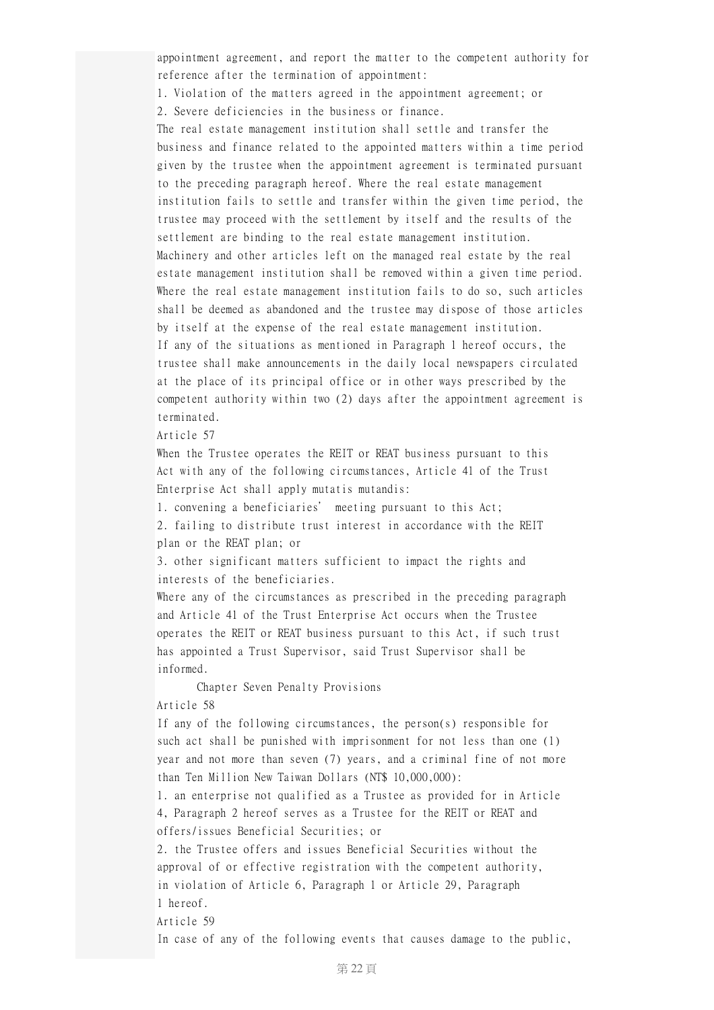appointment agreement, and report the matter to the competent authority for reference after the termination of appointment:

1. Violation of the matters agreed in the appointment agreement; or 2. Severe deficiencies in the business or finance.

The real estate management institution shall settle and transfer the business and finance related to the appointed matters within a time period given by the trustee when the appointment agreement is terminated pursuant to the preceding paragraph hereof. Where the real estate management institution fails to settle and transfer within the given time period, the trustee may proceed with the settlement by itself and the results of the settlement are binding to the real estate management institution. Machinery and other articles left on the managed real estate by the real estate management institution shall be removed within a given time period. Where the real estate management institution fails to do so, such articles shall be deemed as abandoned and the trustee may dispose of those articles by itself at the expense of the real estate management institution. If any of the situations as mentioned in Paragraph 1 hereof occurs, the trustee shall make announcements in the daily local newspapers circulated at the place of its principal office or in other ways prescribed by the competent authority within two (2) days after the appointment agreement is terminated.

Article 57

When the Trustee operates the REIT or REAT business pursuant to this Act with any of the following circumstances, Article 41 of the Trust Enterprise Act shall apply mutatis mutandis:

1. convening a beneficiaries' meeting pursuant to this Act;

2. failing to distribute trust interest in accordance with the REIT plan or the REAT plan; or

3. other significant matters sufficient to impact the rights and interests of the beneficiaries.

Where any of the circumstances as prescribed in the preceding paragraph and Article 41 of the Trust Enterprise Act occurs when the Trustee operates the REIT or REAT business pursuant to this Act, if such trust has appointed a Trust Supervisor, said Trust Supervisor shall be informed.

Chapter Seven Penalty Provisions

Article 58

If any of the following circumstances, the person(s) responsible for such act shall be punished with imprisonment for not less than one (1) year and not more than seven (7) years, and a criminal fine of not more than Ten Million New Taiwan Dollars (NT\$ 10,000,000):

1. an enterprise not qualified as a Trustee as provided for in Article 4, Paragraph 2 hereof serves as a Trustee for the REIT or REAT and offers/issues Beneficial Securities; or

2. the Trustee offers and issues Beneficial Securities without the approval of or effective registration with the competent authority, in violation of Article 6, Paragraph 1 or Article 29, Paragraph 1 hereof.

Article 59

In case of any of the following events that causes damage to the public,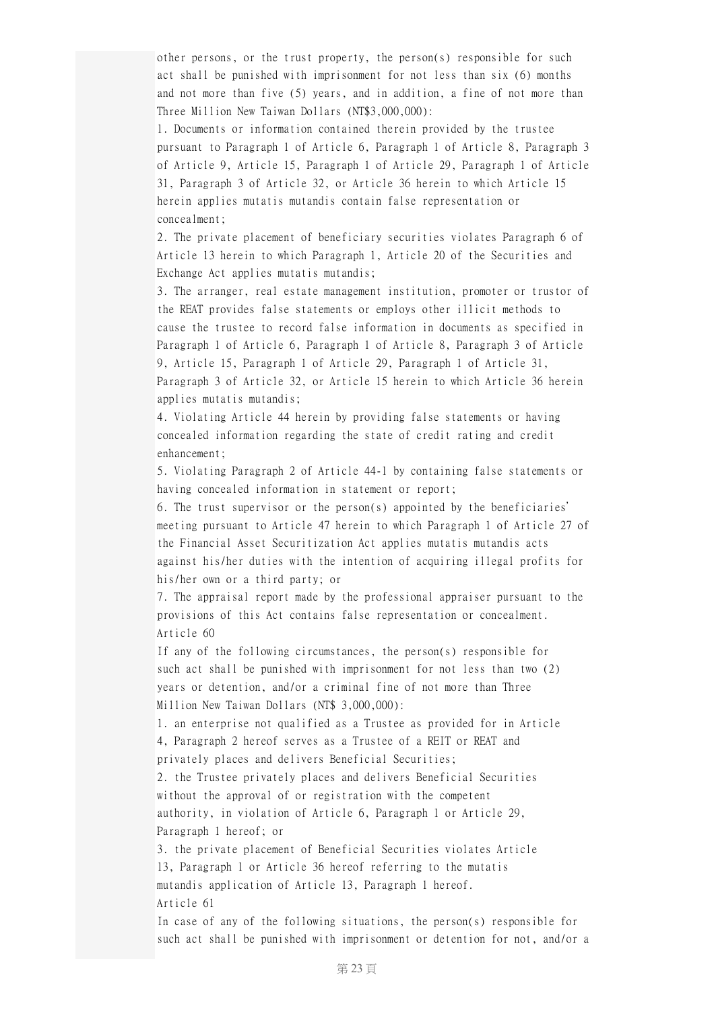other persons, or the trust property, the person(s) responsible for such act shall be punished with imprisonment for not less than six (6) months and not more than five (5) years, and in addition, a fine of not more than Three Million New Taiwan Dollars (NT\$3,000,000):

1. Documents or information contained therein provided by the trustee pursuant to Paragraph 1 of Article 6, Paragraph 1 of Article 8, Paragraph 3 of Article 9, Article 15, Paragraph 1 of Article 29, Paragraph 1 of Article 31, Paragraph 3 of Article 32, or Article 36 herein to which Article 15 herein applies mutatis mutandis contain false representation or concealment;

2. The private placement of beneficiary securities violates Paragraph 6 of Article 13 herein to which Paragraph 1, Article 20 of the Securities and Exchange Act applies mutatis mutandis;

3. The arranger, real estate management institution, promoter or trustor of the REAT provides false statements or employs other illicit methods to cause the trustee to record false information in documents as specified in Paragraph 1 of Article 6, Paragraph 1 of Article 8, Paragraph 3 of Article 9, Article 15, Paragraph 1 of Article 29, Paragraph 1 of Article 31, Paragraph 3 of Article 32, or Article 15 herein to which Article 36 herein applies mutatis mutandis;

4. Violating Article 44 herein by providing false statements or having concealed information regarding the state of credit rating and credit enhancement;

5. Violating Paragraph 2 of Article 44-1 by containing false statements or having concealed information in statement or report;

6. The trust supervisor or the person(s) appointed by the beneficiaries' meeting pursuant to Article 47 herein to which Paragraph 1 of Article 27 of the Financial Asset Securitization Act applies mutatis mutandis acts against his/her duties with the intention of acquiring illegal profits for his/her own or a third party; or

7. The appraisal report made by the professional appraiser pursuant to the provisions of this Act contains false representation or concealment. Article 60

If any of the following circumstances, the person(s) responsible for such act shall be punished with imprisonment for not less than two (2) years or detention, and/or a criminal fine of not more than Three Million New Taiwan Dollars (NT\$ 3,000,000):

1. an enterprise not qualified as a Trustee as provided for in Article 4, Paragraph 2 hereof serves as a Trustee of a REIT or REAT and privately places and delivers Beneficial Securities;

2. the Trustee privately places and delivers Beneficial Securities without the approval of or registration with the competent authority, in violation of Article 6, Paragraph 1 or Article 29, Paragraph 1 hereof; or

3. the private placement of Beneficial Securities violates Article 13, Paragraph 1 or Article 36 hereof referring to the mutatis mutandis application of Article 13, Paragraph 1 hereof. Article 61

In case of any of the following situations, the person(s) responsible for such act shall be punished with imprisonment or detention for not, and/or a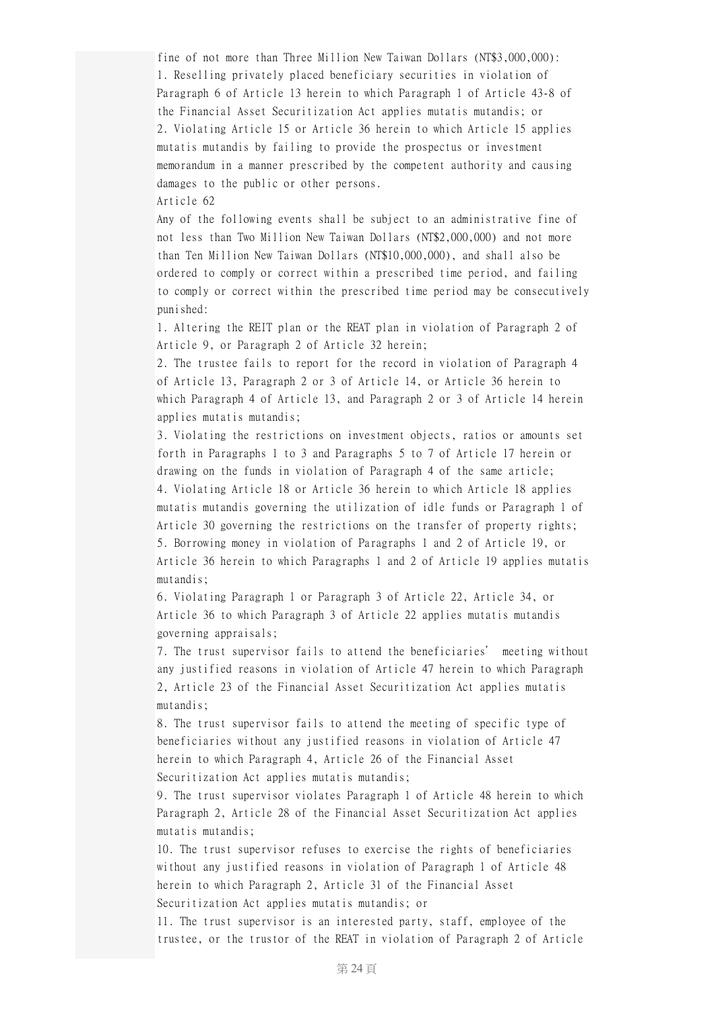fine of not more than Three Million New Taiwan Dollars (NT\$3,000,000): 1. Reselling privately placed beneficiary securities in violation of Paragraph 6 of Article 13 herein to which Paragraph 1 of Article 43-8 of the Financial Asset Securitization Act applies mutatis mutandis; or 2. Violating Article 15 or Article 36 herein to which Article 15 applies mutatis mutandis by failing to provide the prospectus or investment memorandum in a manner prescribed by the competent authority and causing damages to the public or other persons.

Article 62

Any of the following events shall be subject to an administrative fine of not less than Two Million New Taiwan Dollars (NT\$2,000,000) and not more than Ten Million New Taiwan Dollars (NT\$10,000,000), and shall also be ordered to comply or correct within a prescribed time period, and failing to comply or correct within the prescribed time period may be consecutively punished:

1. Altering the REIT plan or the REAT plan in violation of Paragraph 2 of Article 9, or Paragraph 2 of Article 32 herein;

2. The trustee fails to report for the record in violation of Paragraph 4 of Article 13, Paragraph 2 or 3 of Article 14, or Article 36 herein to which Paragraph 4 of Article 13, and Paragraph 2 or 3 of Article 14 herein applies mutatis mutandis;

3. Violating the restrictions on investment objects, ratios or amounts set forth in Paragraphs 1 to 3 and Paragraphs 5 to 7 of Article 17 herein or drawing on the funds in violation of Paragraph 4 of the same article; 4. Violating Article 18 or Article 36 herein to which Article 18 applies mutatis mutandis governing the utilization of idle funds or Paragraph 1 of Article 30 governing the restrictions on the transfer of property rights; 5. Borrowing money in violation of Paragraphs 1 and 2 of Article 19, or Article 36 herein to which Paragraphs 1 and 2 of Article 19 applies mutatis mutandis;

6. Violating Paragraph 1 or Paragraph 3 of Article 22, Article 34, or Article 36 to which Paragraph 3 of Article 22 applies mutatis mutandis governing appraisals;

7. The trust supervisor fails to attend the beneficiaries' meeting without any justified reasons in violation of Article 47 herein to which Paragraph 2, Article 23 of the Financial Asset Securitization Act applies mutatis mutandis;

8. The trust supervisor fails to attend the meeting of specific type of beneficiaries without any justified reasons in violation of Article 47 herein to which Paragraph 4, Article 26 of the Financial Asset Securitization Act applies mutatis mutandis;

9. The trust supervisor violates Paragraph 1 of Article 48 herein to which Paragraph 2, Article 28 of the Financial Asset Securitization Act applies mutatis mutandis;

10. The trust supervisor refuses to exercise the rights of beneficiaries without any justified reasons in violation of Paragraph 1 of Article 48 herein to which Paragraph 2, Article 31 of the Financial Asset Securitization Act applies mutatis mutandis; or

11. The trust supervisor is an interested party, staff, employee of the trustee, or the trustor of the REAT in violation of Paragraph 2 of Article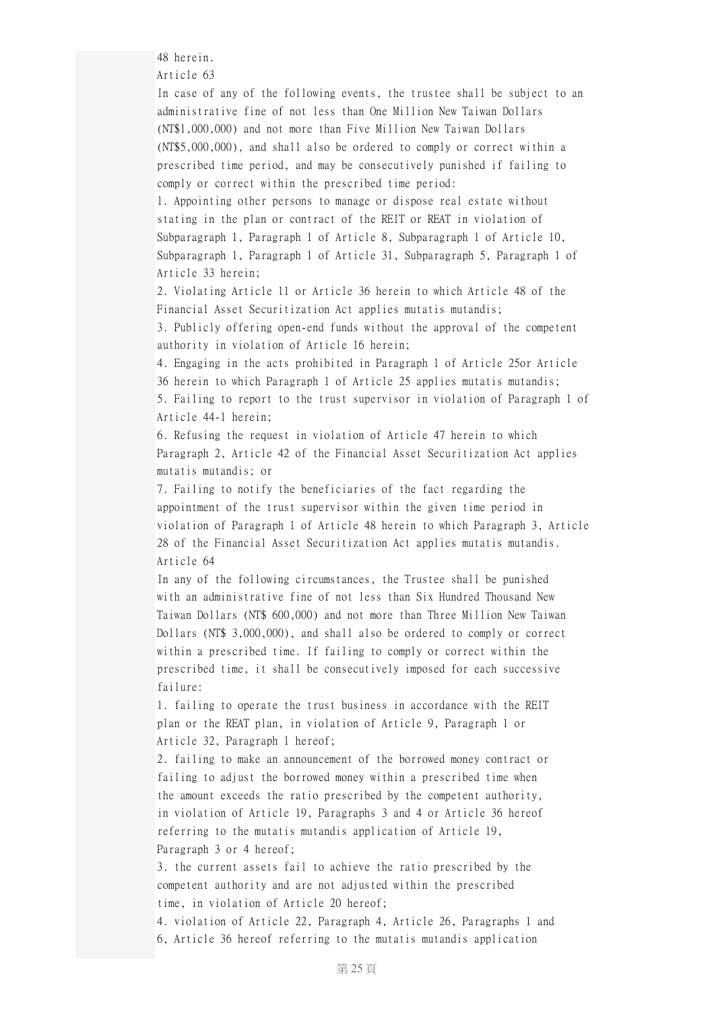48 herein.

Article 63

In case of any of the following events, the trustee shall be subject to an administrative fine of not less than One Million New Taiwan Dollars (NT\$1,000,000) and not more than Five Million New Taiwan Dollars (NT\$5,000,000), and shall also be ordered to comply or correct within a prescribed time period, and may be consecutively punished if failing to comply or correct within the prescribed time period:

1. Appointing other persons to manage or dispose real estate without stating in the plan or contract of the REIT or REAT in violation of Subparagraph 1, Paragraph 1 of Article 8, Subparagraph 1 of Article 10, Subparagraph 1, Paragraph 1 of Article 31, Subparagraph 5, Paragraph 1 of Article 33 herein;

2. Violating Article 11 or Article 36 herein to which Article 48 of the Financial Asset Securitization Act applies mutatis mutandis;

3. Publicly offering open-end funds without the approval of the competent authority in violation of Article 16 herein;

4. Engaging in the acts prohibited in Paragraph 1 of Article 25or Article 36 herein to which Paragraph 1 of Article 25 applies mutatis mutandis; 5. Failing to report to the trust supervisor in violation of Paragraph 1 of Article 44-1 herein;

6. Refusing the request in violation of Article 47 herein to which Paragraph 2, Article 42 of the Financial Asset Securitization Act applies mutatis mutandis; or

7. Failing to notify the beneficiaries of the fact regarding the appointment of the trust supervisor within the given time period in violation of Paragraph 1 of Article 48 herein to which Paragraph 3, Article 28 of the Financial Asset Securitization Act applies mutatis mutandis. Article 64

In any of the following circumstances, the Trustee shall be punished with an administrative fine of not less than Six Hundred Thousand New Taiwan Dollars (NT\$ 600,000) and not more than Three Million New Taiwan Dollars (NT\$ 3,000,000), and shall also be ordered to comply or correct within a prescribed time. If failing to comply or correct within the prescribed time, it shall be consecutively imposed for each successive failure:

1. failing to operate the trust business in accordance with the REIT plan or the REAT plan, in violation of Article 9, Paragraph 1 or Article 32, Paragraph 1 hereof;

2. failing to make an announcement of the borrowed money contract or failing to adjust the borrowed money within a prescribed time when the amount exceeds the ratio prescribed by the competent authority, in violation of Article 19, Paragraphs 3 and 4 or Article 36 hereof referring to the mutatis mutandis application of Article 19, Paragraph 3 or 4 hereof;

3. the current assets fail to achieve the ratio prescribed by the competent authority and are not adjusted within the prescribed time, in violation of Article 20 hereof;

4. violation of Article 22, Paragraph 4, Article 26, Paragraphs 1 and 6, Article 36 hereof referring to the mutatis mutandis application